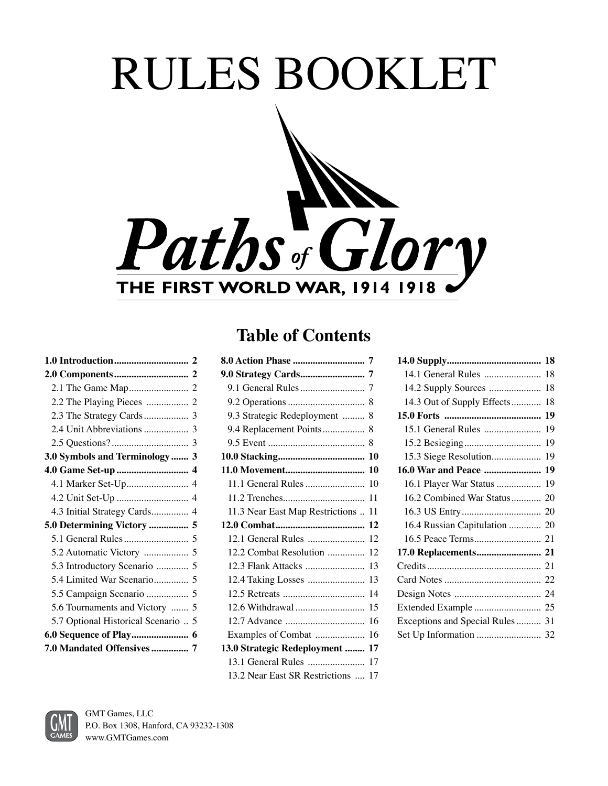# RULES BOOKLET Paths of Glory **THE FIRST WORLD WAR, 1914 1918**

# **1.0 Introduction.............................. 2 2.0 Components.............................. 2**  2.1 The Game Map........................ 2 2.2 The Playing Pieces ................. 2 2.3 The Strategy Cards.................. 3 2.4 Unit Abbreviations.................. 3 2.5 Questions? ............................... 3 **3.0 Symbols and Terminology ....... 3 4.0 Game Set-up ............................. 4** 4.1 Marker Set-Up......................... 4 4.2 Unit Set-Up ............................. 4 4.3 Initial Strategy Cards............... 4 **5.0 Determining Victory ................ 5**  5.1 General Rules.......................... 5 5.2 Automatic Victory .................. 5 5.3 Introductory Scenario ............. 5 5.4 Limited War Scenario.............. 5 5.5 Campaign Scenario ................. 5 5.6 Tournaments and Victory ....... 5 5.7 Optional Historical Scenario .. 5 **6.0 Sequence of Play....................... 6 7.0 Mandated Offensives............... 7**

# **Table of Contents**

| 9.3 Strategic Redeployment  8   |    |
|---------------------------------|----|
|                                 |    |
|                                 |    |
|                                 |    |
|                                 |    |
| 11.1 General Rules              | 10 |
|                                 | 11 |
| 11.3 Near East Map Restrictions | 11 |
|                                 | 12 |
|                                 |    |
| 12.1 General Rules              | 12 |
| 12.2 Combat Resolution          | 12 |
| 12.3 Flank Attacks              | 13 |
| 12.4 Taking Losses              | 13 |
|                                 | 14 |
| 12.6 Withdrawal                 | 15 |
|                                 | 16 |
| Examples of Combat              | 16 |
| 13.0 Strategic Redeployment     | 17 |
| 13.1 General Rules              | 17 |

| 14.1 General Rules              | 18 |
|---------------------------------|----|
| 14.2 Supply Sources             | 18 |
| 14.3 Out of Supply Effects      | 18 |
|                                 | 19 |
| 15.1 General Rules              | 19 |
|                                 | 19 |
| 15.3 Siege Resolution           | 19 |
| 16.0 War and Peace  19          |    |
| 16.1 Player War Status          | 19 |
| 16.2 Combined War Status 20     |    |
|                                 |    |
| 16.4 Russian Capitulation  20   |    |
|                                 |    |
| 17.0 Replacements 21            |    |
|                                 |    |
|                                 |    |
|                                 |    |
|                                 |    |
| Exceptions and Special Rules 31 |    |
|                                 |    |

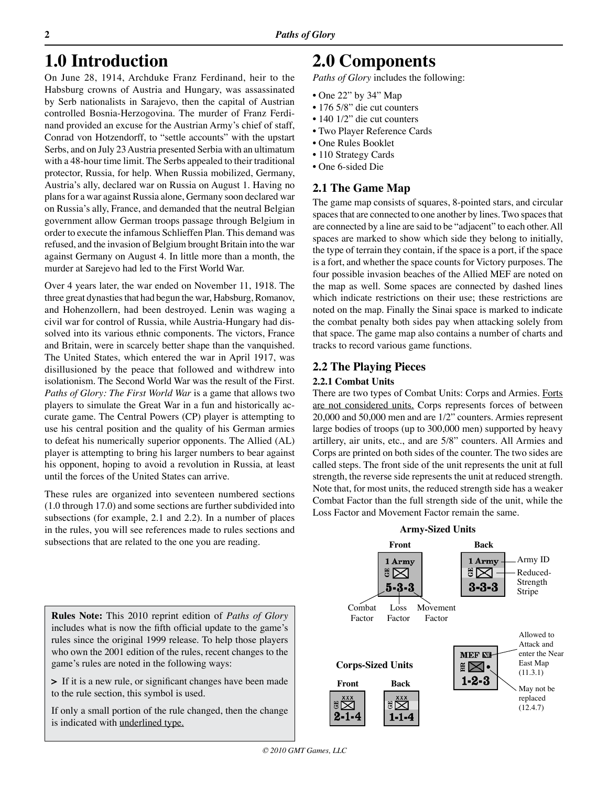# **1.0 Introduction**

 $\overline{2}$ 

On June 28, 1914, Archduke Franz Ferdinand, heir to the Habsburg crowns of Austria and Hungary, was assassinated by Serb nationalists in Sarajevo, then the capital of Austrian controlled Bosnia-Herzogovina. The murder of Franz Ferdinand provided an excuse for the Austrian Army's chief of staff, Conrad von Hotzendorff, to "settle accounts" with the upstart Serbs, and on July 23 Austria presented Serbia with an ultimatum with a 48-hour time limit. The Serbs appealed to their traditional protector, Russia, for help. When Russia mobilized, Germany, Austria's ally, declared war on Russia on August 1. Having no plans for a war against Russia alone, Germany soon declared war on Russia's ally, France, and demanded that the neutral Belgian government allow German troops passage through Belgium in order to execute the infamous Schlieffen Plan. This demand was refused, and the invasion of Belgium brought Britain into the war against Germany on August 4. In little more than a month, the murder at Sarejevo had led to the First World War.

Over 4 years later, the war ended on November 11, 1918. The three great dynasties that had begun the war, Habsburg, Romanov, and Hohenzollern, had been destroyed. Lenin was waging a civil war for control of Russia, while Austria-Hungary had dissolved into its various ethnic components. The victors, France and Britain, were in scarcely better shape than the vanquished. The United States, which entered the war in April 1917, was disillusioned by the peace that followed and withdrew into isolationism. The Second World War was the result of the First. *Paths of Glory: The First World War* is a game that allows two players to simulate the Great War in a fun and historically accurate game. The Central Powers (CP) player is attempting to use his central position and the quality of his German armies to defeat his numerically superior opponents. The Allied (AL) player is attempting to bring his larger numbers to bear against his opponent, hoping to avoid a revolution in Russia, at least until the forces of the United States can arrive.

These rules are organized into seventeen numbered sections (1.0 through 17.0) and some sections are further subdivided into subsections (for example, 2.1 and 2.2). In a number of places in the rules, you will see references made to rules sections and subsections that are related to the one you are reading.

# **2.0 Components**

*Paths of Glory* includes the following:

- One 22" by 34" Map
- 176 5/8" die cut counters
- 140 1/2" die cut counters
- Two Player Reference Cards
- One Rules Booklet
- 110 Strategy Cards
- One 6-sided Die

# **2.1 The Game Map**

The game map consists of squares, 8-pointed stars, and circular spaces that are connected to one another by lines. Two spaces that are connected by a line are said to be "adjacent" to each other. All spaces are marked to show which side they belong to initially, the type of terrain they contain, if the space is a port, if the space is a fort, and whether the space counts for Victory purposes. The four possible invasion beaches of the Allied MEF are noted on the map as well. Some spaces are connected by dashed lines which indicate restrictions on their use; these restrictions are noted on the map. Finally the Sinai space is marked to indicate the combat penalty both sides pay when attacking solely from that space. The game map also contains a number of charts and tracks to record various game functions.

# **2.2 The Playing Pieces**

## **2.2.1 Combat Units**

There are two types of Combat Units: Corps and Armies. Forts are not considered units. Corps represents forces of between 20,000 and 50,000 men and are 1/2" counters. Armies represent large bodies of troops (up to 300,000 men) supported by heavy artillery, air units, etc., and are 5/8" counters. All Armies and Corps are printed on both sides of the counter. The two sides are called steps. The front side of the unit represents the unit at full strength, the reverse side represents the unit at reduced strength. Note that, for most units, the reduced strength side has a weaker Combat Factor than the full strength side of the unit, while the Loss Factor and Movement Factor remain the same.



**Rules Note:** This 2010 reprint edition of *Paths of Glory* includes what is now the fifth official update to the game's rules since the original 1999 release. To help those players who own the 2001 edition of the rules, recent changes to the game's rules are noted in the following ways:

**>** If it is a new rule, or significant changes have been made to the rule section, this symbol is used.

If only a small portion of the rule changed, then the change is indicated with underlined type.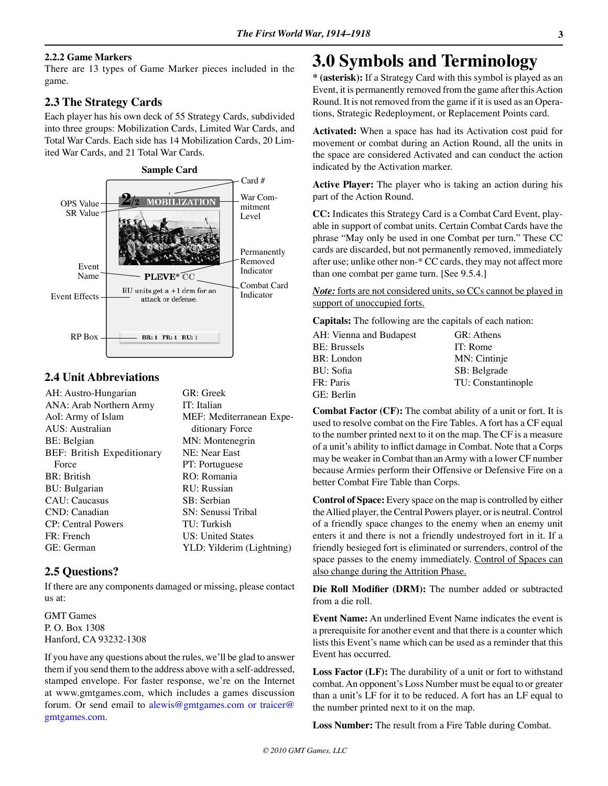#### **2.2.2 Game Markers**

There are 13 types of Game Marker pieces included in the game.

## **2.3 The Strategy Cards**

Each player has his own deck of 55 Strategy Cards, subdivided into three groups: Mobilization Cards, Limited War Cards, and Total War Cards. Each side has 14 Mobilization Cards, 20 Limited War Cards, and 21 Total War Cards.



# **2.4 Unit Abbreviations**

| AH: Austro-Hungarian       | GR: Greek                 |
|----------------------------|---------------------------|
| ANA: Arab Northern Army    | IT: Italian               |
| AoI: Army of Islam         | MEF: Mediterranean Expe-  |
| AUS: Australian            | ditionary Force           |
| BE: Belgian                | MN: Montenegrin           |
| BEF: British Expeditionary | NE: Near East             |
| Force                      | PT: Portuguese            |
| <b>BR</b> : British        | RO: Romania               |
| BU: Bulgarian              | RU: Russian               |
| <b>CAU</b> : Caucasus      | SB: Serbian               |
| CND: Canadian              | SN: Senussi Tribal        |
| <b>CP</b> : Central Powers | TU: Turkish               |
| FR: French                 | US: United States         |
| GE: German                 | YLD: Yilderim (Lightning) |

## **2.5 Questions?**

If there are any components damaged or missing, please contact us at:

GMT Games P. O. Box 1308 Hanford, CA 93232-1308

If you have any questions about the rules, we'll be glad to answer them if you send them to the address above with a self-addressed, stamped envelope. For faster response, we're on the Internet at www.gmtgames.com, which includes a games discussion forum. Or send email to alewis@gmtgames.com or traicer@ gmtgames.com.

# **3.0 Symbols and Terminology**

**\* (asterisk):** If a Strategy Card with this symbol is played as an Event, it is permanently removed from the game after this Action Round. It is not removed from the game if it is used as an Operations, Strategic Redeployment, or Replacement Points card.

**Activated:** When a space has had its Activation cost paid for movement or combat during an Action Round, all the units in the space are considered Activated and can conduct the action indicated by the Activation marker.

**Active Player:** The player who is taking an action during his part of the Action Round.

**CC:** Indicates this Strategy Card is a Combat Card Event, playable in support of combat units. Certain Combat Cards have the phrase "May only be used in one Combat per turn." These CC cards are discarded, but not permanently removed, immediately after use; unlike other non-\* CC cards, they may not affect more than one combat per game turn. [See 9.5.4.]

*Note:* forts are not considered units, so CCs cannot be played in support of unoccupied forts.

**Capitals:** The following are the capitals of each nation:

| AH: Vienna and Budapest | GR: Athens         |
|-------------------------|--------------------|
| <b>BE:</b> Brussels     | IT: Rome           |
| BR: London              | MN: Cintinje       |
| BU: Sofia               | SB: Belgrade       |
| FR: Paris               | TU: Constantinople |
| GE: Berlin              |                    |

**Combat Factor (CF):** The combat ability of a unit or fort. It is used to resolve combat on the Fire Tables. A fort has a CF equal to the number printed next to it on the map. The CF is a measure of a unit's ability to inflict damage in Combat. Note that a Corps may be weaker in Combat than an Army with a lower CF number because Armies perform their Offensive or Defensive Fire on a better Combat Fire Table than Corps.

**Control of Space:** Every space on the map is controlled by either the Allied player, the Central Powers player, or is neutral. Control of a friendly space changes to the enemy when an enemy unit enters it and there is not a friendly undestroyed fort in it. If a friendly besieged fort is eliminated or surrenders, control of the space passes to the enemy immediately. Control of Spaces can also change during the Attrition Phase.

**Die Roll Modifier (DRM):** The number added or subtracted from a die roll.

**Event Name:** An underlined Event Name indicates the event is a prerequisite for another event and that there is a counter which lists this Event's name which can be used as a reminder that this Event has occurred.

**Loss Factor (LF):** The durability of a unit or fort to withstand combat. An opponent's Loss Number must be equal to or greater than a unit's LF for it to be reduced. A fort has an LF equal to the number printed next to it on the map.

**Loss Number:** The result from a Fire Table during Combat.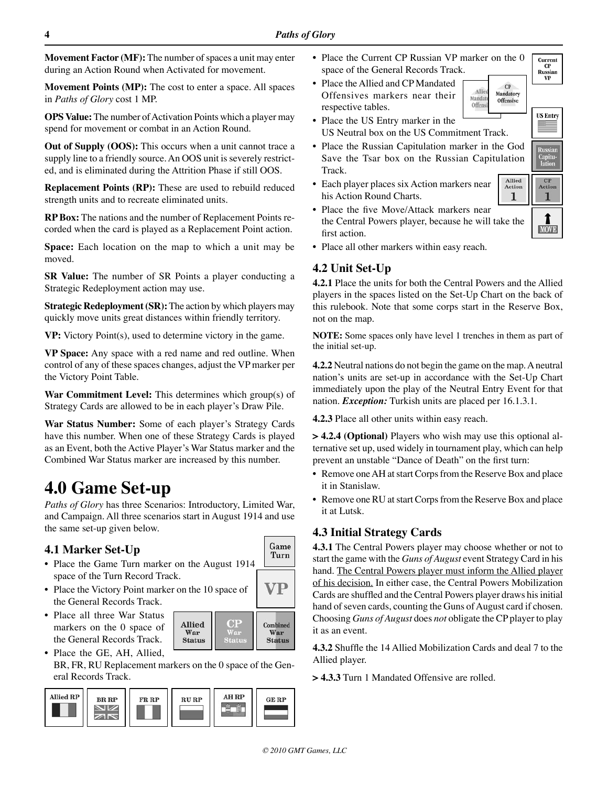**Movement Factor (MF):** The number of spaces a unit may enter during an Action Round when Activated for movement.

**Movement Points (MP):** The cost to enter a space. All spaces in *Paths of Glory* cost 1 MP.

**OPS Value:** The number of Activation Points which a player may spend for movement or combat in an Action Round.

**Out of Supply (OOS):** This occurs when a unit cannot trace a supply line to a friendly source. An OOS unit is severely restricted, and is eliminated during the Attrition Phase if still OOS.

**Replacement Points (RP):** These are used to rebuild reduced strength units and to recreate eliminated units.

**RP Box:** The nations and the number of Replacement Points recorded when the card is played as a Replacement Point action.

**Space:** Each location on the map to which a unit may be moved.

**SR Value:** The number of SR Points a player conducting a Strategic Redeployment action may use.

**Strategic Redeployment (SR):** The action by which players may quickly move units great distances within friendly territory.

**VP:** Victory Point(s), used to determine victory in the game.

**VP Space:** Any space with a red name and red outline. When control of any of these spaces changes, adjust the VP marker per the Victory Point Table.

**War Commitment Level:** This determines which group(s) of Strategy Cards are allowed to be in each player's Draw Pile.

**War Status Number:** Some of each player's Strategy Cards have this number. When one of these Strategy Cards is played as an Event, both the Active Player's War Status marker and the Combined War Status marker are increased by this number.

# **4.0 Game Set-up**

*Paths of Glory* has three Scenarios: Introductory, Limited War, and Campaign. All three scenarios start in August 1914 and use the same set-up given below.

# **4.1 Marker Set-Up**

- **•** Place the Game Turn marker on the August 1914 space of the Turn Record Track.
- **•** Place the Victory Point marker on the 10 space of the General Records Track.
- **•** Place all three War Status markers on the 0 space of the General Records Track.
- **•** Place the GE, AH, Allied, BR, FR, RU Replacement markers on the 0 space of the General Records Track.

Allied

War

**Status** 



- **•** Place the Current CP Russian VP marker on the 0 space of the General Records Track. Russian
- **•** Place the Allied and CP Mandated Offensives markers near their respective tables.



 $\pmb{\quad \text{Allied} }$ 

1

- **•** Place the US Entry marker in the US Neutral box on the US Commitment Track.
- **•** Place the Russian Capitulation marker in the God Save the Tsar box on the Russian Capitulation Track.
- **•** Each player places six Action markers near his Action Round Charts.
- **•** Place the five Move/Attack markers near the Central Powers player, because he will take the first action.
- Action Action 1 1 **MOVE**

Current

**VP** 

**US Entry** 

Capitu<br>lation

**•** Place all other markers within easy reach.

# **4.2 Unit Set-Up**

**4.2.1** Place the units for both the Central Powers and the Allied players in the spaces listed on the Set-Up Chart on the back of this rulebook. Note that some corps start in the Reserve Box, not on the map.

**NOTE:** Some spaces only have level 1 trenches in them as part of the initial set-up.

**4.2.2** Neutral nations do not begin the game on the map. A neutral nation's units are set-up in accordance with the Set-Up Chart immediately upon the play of the Neutral Entry Event for that nation. *Exception:* Turkish units are placed per 16.1.3.1.

**4.2.3** Place all other units within easy reach.

**> 4.2.4 (Optional)** Players who wish may use this optional alternative set up, used widely in tournament play, which can help prevent an unstable "Dance of Death" on the first turn:

- Remove one AH at start Corps from the Reserve Box and place it in Stanislaw.
- Remove one RU at start Corps from the Reserve Box and place it at Lutsk.

# **4.3 Initial Strategy Cards**

**4.3.1** The Central Powers player may choose whether or not to start the game with the *Guns of August* event Strategy Card in his hand. The Central Powers player must inform the Allied player of his decision. In either case, the Central Powers Mobilization Cards are shuffled and the Central Powers player draws his initial hand of seven cards, counting the Guns of August card if chosen. Choosing *Guns of August* does *not* obligate the CP player to play it as an event.

**4.3.2** Shuffle the 14 Allied Mobilization Cards and deal 7 to the Allied player.

**> 4.3.3** Turn 1 Mandated Offensive are rolled.

Game Turn

VP

Combined

War

**Status** 

 $O<sub>F</sub>$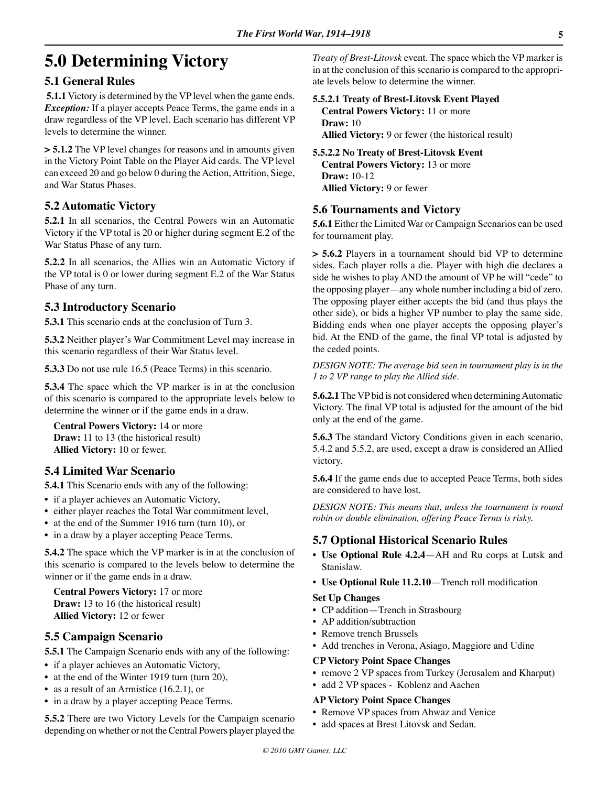# **5.0 Determining Victory**

# **5.1 General Rules**

**5.1.1** Victory is determined by the VP level when the game ends. *Exception:* If a player accepts Peace Terms, the game ends in a draw regardless of the VP level. Each scenario has different VP levels to determine the winner.

**> 5.1.2** The VP level changes for reasons and in amounts given in the Victory Point Table on the Player Aid cards. The VP level can exceed 20 and go below 0 during the Action, Attrition, Siege, and War Status Phases.

# **5.2 Automatic Victory**

**5.2.1** In all scenarios, the Central Powers win an Automatic Victory if the VP total is 20 or higher during segment E.2 of the War Status Phase of any turn.

**5.2.2** In all scenarios, the Allies win an Automatic Victory if the VP total is 0 or lower during segment E.2 of the War Status Phase of any turn.

## **5.3 Introductory Scenario**

**5.3.1** This scenario ends at the conclusion of Turn 3.

**5.3.2** Neither player's War Commitment Level may increase in this scenario regardless of their War Status level.

**5.3.3** Do not use rule 16.5 (Peace Terms) in this scenario.

**5.3.4** The space which the VP marker is in at the conclusion of this scenario is compared to the appropriate levels below to determine the winner or if the game ends in a draw.

**Central Powers Victory:** 14 or more **Draw:** 11 to 13 (the historical result) **Allied Victory:** 10 or fewer.

# **5.4 Limited War Scenario**

**5.4.1** This Scenario ends with any of the following:

- if a player achieves an Automatic Victory,
- either player reaches the Total War commitment level,
- at the end of the Summer 1916 turn (turn 10), or
- in a draw by a player accepting Peace Terms.

**5.4.2** The space which the VP marker is in at the conclusion of this scenario is compared to the levels below to determine the winner or if the game ends in a draw.

**Central Powers Victory:** 17 or more **Draw:** 13 to 16 (the historical result) **Allied Victory:** 12 or fewer

# **5.5 Campaign Scenario**

**5.5.1** The Campaign Scenario ends with any of the following:

- if a player achieves an Automatic Victory,
- at the end of the Winter 1919 turn (turn 20),
- as a result of an Armistice (16.2.1), or
- in a draw by a player accepting Peace Terms.

**5.5.2** There are two Victory Levels for the Campaign scenario depending on whether or not the Central Powers player played the *Treaty of Brest-Litovsk* event. The space which the VP marker is in at the conclusion of this scenario is compared to the appropriate levels below to determine the winner.

## **5.5.2.1 Treaty of Brest-Litovsk Event Played Central Powers Victory:** 11 or more **Draw:** 10

**Allied Victory:** 9 or fewer (the historical result)

## **5.5.2.2 No Treaty of Brest-Litovsk Event**

**Central Powers Victory:** 13 or more **Draw:** 10-12 **Allied Victory:** 9 or fewer

# **5.6 Tournaments and Victory**

**5.6.1** Either the Limited War or Campaign Scenarios can be used for tournament play.

**> 5.6.2** Players in a tournament should bid VP to determine sides. Each player rolls a die. Player with high die declares a side he wishes to play AND the amount of VP he will "cede" to the opposing player—any whole number including a bid of zero. The opposing player either accepts the bid (and thus plays the other side), or bids a higher VP number to play the same side. Bidding ends when one player accepts the opposing player's bid. At the END of the game, the final VP total is adjusted by the ceded points.

*DESIGN NOTE: The average bid seen in tournament play is in the 1 to 2 VP range to play the Allied side.* 

**5.6.2.1** The VP bid is not considered when determining Automatic Victory. The final VP total is adjusted for the amount of the bid only at the end of the game.

**5.6.3** The standard Victory Conditions given in each scenario, 5.4.2 and 5.5.2, are used, except a draw is considered an Allied victory.

**5.6.4** If the game ends due to accepted Peace Terms, both sides are considered to have lost.

*DESIGN NOTE: This means that, unless the tournament is round robin or double elimination, offering Peace Terms is risky.* 

## **5.7 Optional Historical Scenario Rules**

- **• Use Optional Rule 4.2.4**—AH and Ru corps at Lutsk and Stanislaw.
- **• Use Optional Rule 11.2.10**—Trench roll modification

#### **Set Up Changes**

- CP addition—Trench in Strasbourg
- AP addition/subtraction
- Remove trench Brussels
- Add trenches in Verona, Asiago, Maggiore and Udine

#### **CP Victory Point Space Changes**

- remove 2 VP spaces from Turkey (Jerusalem and Kharput)
- add 2 VP spaces Koblenz and Aachen

#### **AP Victory Point Space Changes**

- Remove VP spaces from Ahwaz and Venice
- add spaces at Brest Litovsk and Sedan.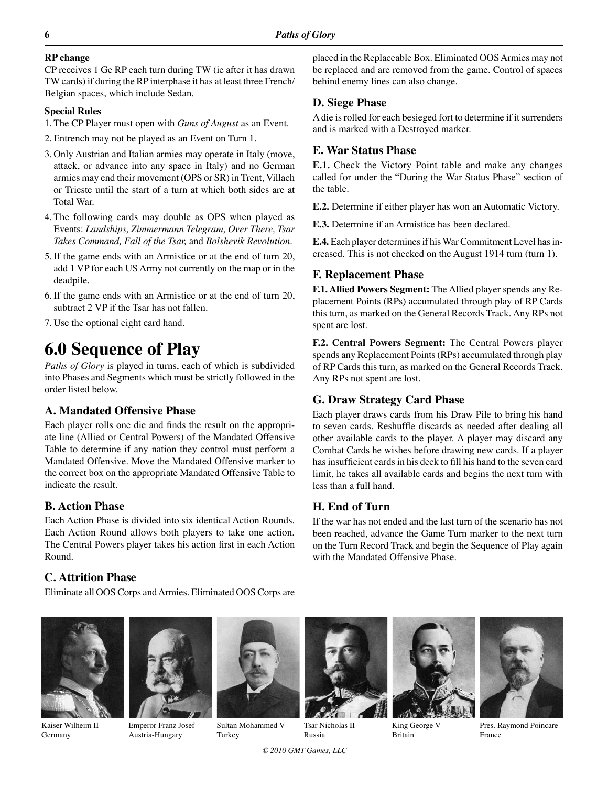## **RP change**

CP receives 1 Ge RP each turn during TW (ie after it has drawn TW cards) if during the RP interphase it has at least three French/ Belgian spaces, which include Sedan.

## **Special Rules**

1.The CP Player must open with *Guns of August* as an Event.

- 2.Entrench may not be played as an Event on Turn 1.
- 3. Only Austrian and Italian armies may operate in Italy (move, attack, or advance into any space in Italy) and no German armies may end their movement (OPS or SR) in Trent, Villach or Trieste until the start of a turn at which both sides are at Total War.
- 4.The following cards may double as OPS when played as Events: *Landships, Zimmermann Telegram, Over There, Tsar Takes Command, Fall of the Tsar,* and *Bolshevik Revolution.*
- 5.If the game ends with an Armistice or at the end of turn 20, add 1 VP for each US Army not currently on the map or in the deadpile.
- 6.If the game ends with an Armistice or at the end of turn 20, subtract 2 VP if the Tsar has not fallen.
- 7. Use the optional eight card hand.

# **6.0 Sequence of Play**

*Paths of Glory* is played in turns, each of which is subdivided into Phases and Segments which must be strictly followed in the order listed below.

# **A. Mandated Offensive Phase**

Each player rolls one die and finds the result on the appropriate line (Allied or Central Powers) of the Mandated Offensive Table to determine if any nation they control must perform a Mandated Offensive. Move the Mandated Offensive marker to the correct box on the appropriate Mandated Offensive Table to indicate the result.

# **B. Action Phase**

Each Action Phase is divided into six identical Action Rounds. Each Action Round allows both players to take one action. The Central Powers player takes his action first in each Action Round.

# **C. Attrition Phase**

Eliminate all OOS Corps and Armies. Eliminated OOS Corps are



Kaiser Wilheim II Germany



Emperor Franz Josef Austria-Hungary



Sultan Mohammed V Turkey

*© 2010 GMT Games, LLC*

Tsar Nicholas II Russia



# **D. Siege Phase**

A die is rolled for each besieged fort to determine if it surrenders and is marked with a Destroyed marker.

# **E. War Status Phase**

**E.1.** Check the Victory Point table and make any changes called for under the "During the War Status Phase" section of the table.

**E.2.** Determine if either player has won an Automatic Victory.

**E.3.** Determine if an Armistice has been declared.

**E.4.** Each player determines if his War Commitment Level has increased. This is not checked on the August 1914 turn (turn 1).

# **F. Replacement Phase**

**F.1. Allied Powers Segment:** The Allied player spends any Replacement Points (RPs) accumulated through play of RP Cards this turn, as marked on the General Records Track. Any RPs not spent are lost.

**F.2. Central Powers Segment:** The Central Powers player spends any Replacement Points (RPs) accumulated through play of RP Cards this turn, as marked on the General Records Track. Any RPs not spent are lost.

# **G. Draw Strategy Card Phase**

Each player draws cards from his Draw Pile to bring his hand to seven cards. Reshuffle discards as needed after dealing all other available cards to the player. A player may discard any Combat Cards he wishes before drawing new cards. If a player has insufficient cards in his deck to fill his hand to the seven card limit, he takes all available cards and begins the next turn with less than a full hand.

# **H. End of Turn**

If the war has not ended and the last turn of the scenario has not been reached, advance the Game Turn marker to the next turn on the Turn Record Track and begin the Sequence of Play again with the Mandated Offensive Phase.



King George V Britain



Pres. Raymond Poincare France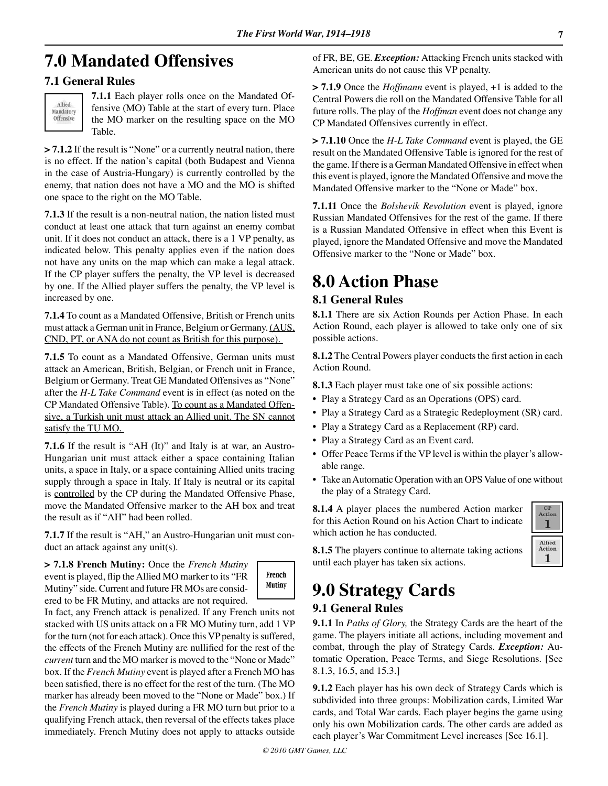# **7.0 Mandated Offensives**

# **7.1 General Rules**



**7.1.1** Each player rolls once on the Mandated Offensive (MO) Table at the start of every turn. Place the MO marker on the resulting space on the MO Table.

**> 7.1.2** If the result is "None" or a currently neutral nation, there is no effect. If the nation's capital (both Budapest and Vienna in the case of Austria-Hungary) is currently controlled by the enemy, that nation does not have a MO and the MO is shifted one space to the right on the MO Table.

**7.1.3** If the result is a non-neutral nation, the nation listed must conduct at least one attack that turn against an enemy combat unit. If it does not conduct an attack, there is a 1 VP penalty, as indicated below. This penalty applies even if the nation does not have any units on the map which can make a legal attack. If the CP player suffers the penalty, the VP level is decreased by one. If the Allied player suffers the penalty, the VP level is increased by one.

**7.1.4** To count as a Mandated Offensive, British or French units must attack a German unit in France, Belgium or Germany. (AUS, CND, PT, or ANA do not count as British for this purpose).

**7.1.5** To count as a Mandated Offensive, German units must attack an American, British, Belgian, or French unit in France, Belgium or Germany. Treat GE Mandated Offensives as "None" after the *H-L Take Command* event is in effect (as noted on the CP Mandated Offensive Table). To count as a Mandated Offensive, a Turkish unit must attack an Allied unit. The SN cannot satisfy the TU MO.

**7.1.6** If the result is "AH (It)" and Italy is at war, an Austro-Hungarian unit must attack either a space containing Italian units, a space in Italy, or a space containing Allied units tracing supply through a space in Italy. If Italy is neutral or its capital is controlled by the CP during the Mandated Offensive Phase, move the Mandated Offensive marker to the AH box and treat the result as if "AH" had been rolled.

**7.1.7** If the result is "AH," an Austro-Hungarian unit must conduct an attack against any unit(s).

**> 7.1.8 French Mutiny:** Once the *French Mutiny* event is played, flip the Allied MO marker to its "FR Mutiny" side. Current and future FR MOs are considered to be FR Mutiny, and attacks are not required.



In fact, any French attack is penalized. If any French units not stacked with US units attack on a FR MO Mutiny turn, add 1 VP for the turn (not for each attack). Once this VP penalty is suffered, the effects of the French Mutiny are nullified for the rest of the *current* turn and the MO marker is moved to the "None or Made" box. If the *French Mutiny* event is played after a French MO has been satisfied, there is no effect for the rest of the turn. (The MO marker has already been moved to the "None or Made" box.) If the *French Mutiny* is played during a FR MO turn but prior to a qualifying French attack, then reversal of the effects takes place immediately. French Mutiny does not apply to attacks outside of FR, BE, GE. *Exception:* Attacking French units stacked with American units do not cause this VP penalty.

**> 7.1.9** Once the *Hoffmann* event is played, +1 is added to the Central Powers die roll on the Mandated Offensive Table for all future rolls. The play of the *Hoffman* event does not change any CP Mandated Offensives currently in effect.

**> 7.1.10** Once the *H-L Take Command* event is played, the GE result on the Mandated Offensive Table is ignored for the rest of the game. If there is a German Mandated Offensive in effect when this event is played, ignore the Mandated Offensive and move the Mandated Offensive marker to the "None or Made" box.

**7.1.11** Once the *Bolshevik Revolution* event is played, ignore Russian Mandated Offensives for the rest of the game. If there is a Russian Mandated Offensive in effect when this Event is played, ignore the Mandated Offensive and move the Mandated Offensive marker to the "None or Made" box.

# **8.0 Action Phase**

# **8.1 General Rules**

**8.1.1** There are six Action Rounds per Action Phase. In each Action Round, each player is allowed to take only one of six possible actions.

**8.1.2** The Central Powers player conducts the first action in each Action Round.

**8.1.3** Each player must take one of six possible actions:

- Play a Strategy Card as an Operations (OPS) card.
- Play a Strategy Card as a Strategic Redeployment (SR) card.
- Play a Strategy Card as a Replacement (RP) card.
- Play a Strategy Card as an Event card.
- Offer Peace Terms if the VP level is within the player's allowable range.
- Take an Automatic Operation with an OPS Value of one without the play of a Strategy Card.

**8.1.4** A player places the numbered Action marker for this Action Round on his Action Chart to indicate which action he has conducted.



**8.1.5** The players continue to alternate taking actions until each player has taken six actions.

# **9.0 Strategy Cards**

# **9.1 General Rules**

**9.1.1** In *Paths of Glory,* the Strategy Cards are the heart of the game. The players initiate all actions, including movement and combat, through the play of Strategy Cards. *Exception:* Automatic Operation, Peace Terms, and Siege Resolutions. [See 8.1.3, 16.5, and 15.3.]

**9.1.2** Each player has his own deck of Strategy Cards which is subdivided into three groups: Mobilization cards, Limited War cards, and Total War cards. Each player begins the game using only his own Mobilization cards. The other cards are added as each player's War Commitment Level increases [See 16.1].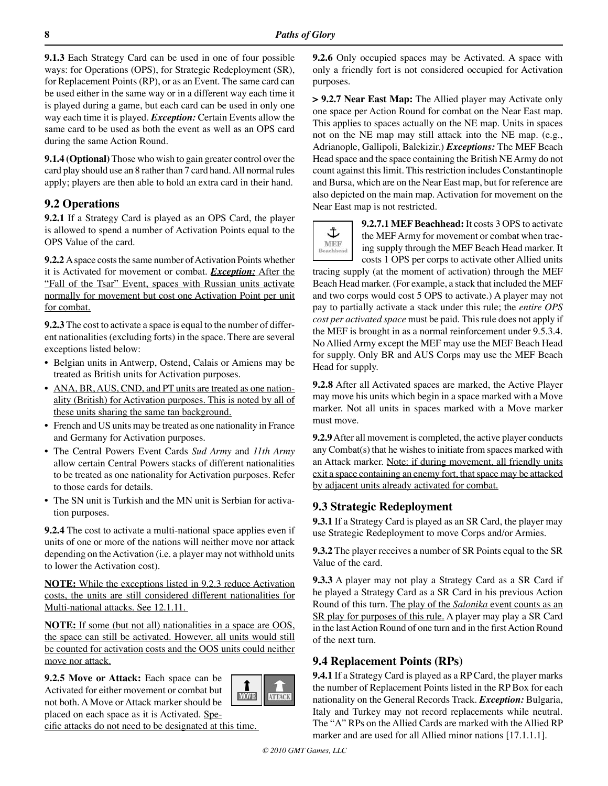**9.1.3** Each Strategy Card can be used in one of four possible ways: for Operations (OPS), for Strategic Redeployment (SR), for Replacement Points (RP), or as an Event. The same card can be used either in the same way or in a different way each time it is played during a game, but each card can be used in only one way each time it is played. *Exception:* Certain Events allow the same card to be used as both the event as well as an OPS card during the same Action Round.

**9.1.4 (Optional)** Those who wish to gain greater control over the card play should use an 8 rather than 7 card hand. All normal rules apply; players are then able to hold an extra card in their hand.

# **9.2 Operations**

**9.2.1** If a Strategy Card is played as an OPS Card, the player is allowed to spend a number of Activation Points equal to the OPS Value of the card.

**9.2.2** A space costs the same number of Activation Points whether it is Activated for movement or combat. *Exception:* After the "Fall of the Tsar" Event, spaces with Russian units activate normally for movement but cost one Activation Point per unit for combat.

**9.2.3** The cost to activate a space is equal to the number of different nationalities (excluding forts) in the space. There are several exceptions listed below:

- Belgian units in Antwerp, Ostend, Calais or Amiens may be treated as British units for Activation purposes.
- ANA, BR, AUS, CND, and PT units are treated as one nationality (British) for Activation purposes. This is noted by all of these units sharing the same tan background.
- French and US units may be treated as one nationality in France and Germany for Activation purposes.
- The Central Powers Event Cards *Sud Army* and *11th Army* allow certain Central Powers stacks of different nationalities to be treated as one nationality for Activation purposes. Refer to those cards for details.
- The SN unit is Turkish and the MN unit is Serbian for activation purposes.

**9.2.4** The cost to activate a multi-national space applies even if units of one or more of the nations will neither move nor attack depending on the Activation (i.e. a player may not withhold units to lower the Activation cost).

**NOTE:** While the exceptions listed in 9.2.3 reduce Activation costs, the units are still considered different nationalities for Multi-national attacks. See 12.1.11.

**NOTE:** If some (but not all) nationalities in a space are OOS, the space can still be activated. However, all units would still be counted for activation costs and the OOS units could neither move nor attack.

**9.2.5 Move or Attack:** Each space can be Activated for either movement or combat but not both. A Move or Attack marker should be placed on each space as it is Activated. Spe-



**9.2.6** Only occupied spaces may be Activated. A space with only a friendly fort is not considered occupied for Activation purposes.

**> 9.2.7 Near East Map:** The Allied player may Activate only one space per Action Round for combat on the Near East map. This applies to spaces actually on the NE map. Units in spaces not on the NE map may still attack into the NE map. (e.g., Adrianople, Gallipoli, Balekizir.) *Exceptions:* The MEF Beach Head space and the space containing the British NE Army do not count against this limit. This restriction includes Constantinople and Bursa, which are on the Near East map, but for reference are also depicted on the main map. Activation for movement on the Near East map is not restricted.

**9.2.7.1 MEF Beachhead:** It costs 3 OPS to activate the MEF Army for movement or combat when tracing supply through the MEF Beach Head marker. It costs 1 OPS per corps to activate other Allied units

tracing supply (at the moment of activation) through the MEF Beach Head marker. (For example, a stack that included the MEF and two corps would cost 5 OPS to activate.) A player may not pay to partially activate a stack under this rule; the *entire OPS cost per activated space* must be paid. This rule does not apply if the MEF is brought in as a normal reinforcement under 9.5.3.4. No Allied Army except the MEF may use the MEF Beach Head for supply. Only BR and AUS Corps may use the MEF Beach Head for supply.

**9.2.8** After all Activated spaces are marked, the Active Player may move his units which begin in a space marked with a Move marker. Not all units in spaces marked with a Move marker must move.

**9.2.9** After all movement is completed, the active player conducts any Combat(s) that he wishes to initiate from spaces marked with an Attack marker. Note: if during movement, all friendly units exit a space containing an enemy fort, that space may be attacked by adjacent units already activated for combat.

# **9.3 Strategic Redeployment**

**9.3.1** If a Strategy Card is played as an SR Card, the player may use Strategic Redeployment to move Corps and/or Armies.

**9.3.2** The player receives a number of SR Points equal to the SR Value of the card.

**9.3.3** A player may not play a Strategy Card as a SR Card if he played a Strategy Card as a SR Card in his previous Action Round of this turn. The play of the *Salonika* event counts as an SR play for purposes of this rule. A player may play a SR Card in the last Action Round of one turn and in the first Action Round of the next turn.

# **9.4 Replacement Points (RPs)**

**9.4.1** If a Strategy Card is played as a RP Card, the player marks the number of Replacement Points listed in the RP Box for each nationality on the General Records Track. *Exception:* Bulgaria, Italy and Turkey may not record replacements while neutral. The "A" RPs on the Allied Cards are marked with the Allied RP marker and are used for all Allied minor nations [17.1.1.1].

**ATTACK** 

1 **MOVE**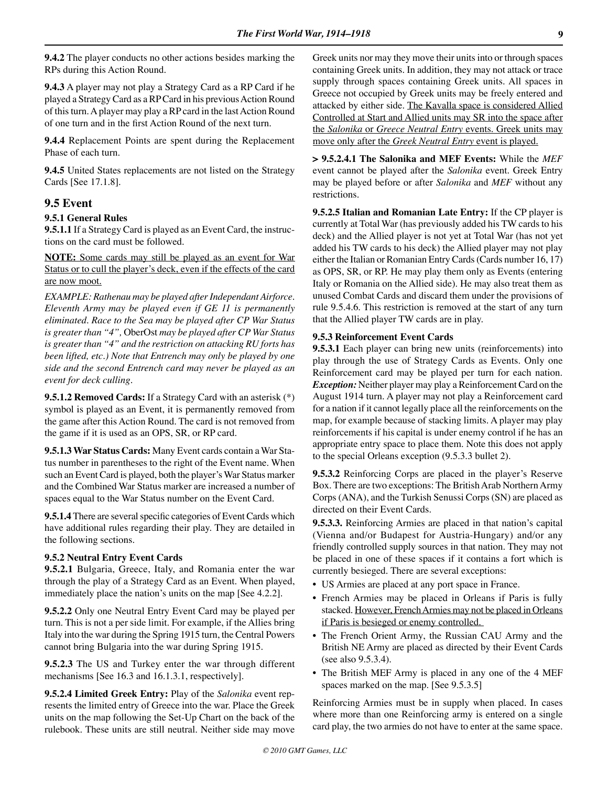**9.4.2** The player conducts no other actions besides marking the RPs during this Action Round.

**9.4.3** A player may not play a Strategy Card as a RP Card if he played a Strategy Card as a RP Card in his previous Action Round of this turn. A player may play a RP card in the last Action Round of one turn and in the first Action Round of the next turn.

**9.4.4** Replacement Points are spent during the Replacement Phase of each turn.

**9.4.5** United States replacements are not listed on the Strategy Cards [See 17.1.8].

# **9.5 Event**

## **9.5.1 General Rules**

**9.5.1.1** If a Strategy Card is played as an Event Card, the instructions on the card must be followed.

**NOTE:** Some cards may still be played as an event for War Status or to cull the player's deck, even if the effects of the card are now moot.

*EXAMPLE: Rathenau may be played after Independant Airforce. Eleventh Army may be played even if GE 11 is permanently eliminated. Race to the Sea may be played after CP War Status is greater than "4",* OberOst *may be played after CP War Status is greater than "4" and the restriction on attacking RU forts has been lifted, etc.) Note that Entrench may only be played by one side and the second Entrench card may never be played as an event for deck culling.*

**9.5.1.2 Removed Cards:** If a Strategy Card with an asterisk (\*) symbol is played as an Event, it is permanently removed from the game after this Action Round. The card is not removed from the game if it is used as an OPS, SR, or RP card.

**9.5.1.3 War Status Cards:** Many Event cards contain a War Status number in parentheses to the right of the Event name. When such an Event Card is played, both the player's War Status marker and the Combined War Status marker are increased a number of spaces equal to the War Status number on the Event Card.

**9.5.1.4** There are several specific categories of Event Cards which have additional rules regarding their play. They are detailed in the following sections.

#### **9.5.2 Neutral Entry Event Cards**

**9.5.2.1** Bulgaria, Greece, Italy, and Romania enter the war through the play of a Strategy Card as an Event. When played, immediately place the nation's units on the map [See 4.2.2].

**9.5.2.2** Only one Neutral Entry Event Card may be played per turn. This is not a per side limit. For example, if the Allies bring Italy into the war during the Spring 1915 turn, the Central Powers cannot bring Bulgaria into the war during Spring 1915.

**9.5.2.3** The US and Turkey enter the war through different mechanisms [See 16.3 and 16.1.3.1, respectively].

**9.5.2.4 Limited Greek Entry:** Play of the *Salonika* event represents the limited entry of Greece into the war. Place the Greek units on the map following the Set-Up Chart on the back of the rulebook. These units are still neutral. Neither side may move Greek units nor may they move their units into or through spaces containing Greek units. In addition, they may not attack or trace supply through spaces containing Greek units. All spaces in Greece not occupied by Greek units may be freely entered and attacked by either side. The Kavalla space is considered Allied Controlled at Start and Allied units may SR into the space after the *Salonika* or *Greece Neutral Entry* events. Greek units may move only after the *Greek Neutral Entry* event is played.

**> 9.5.2.4.1 The Salonika and MEF Events:** While the *MEF* event cannot be played after the *Salonika* event. Greek Entry may be played before or after *Salonika* and *MEF* without any restrictions.

**9.5.2.5 Italian and Romanian Late Entry:** If the CP player is currently at Total War (has previously added his TW cards to his deck) and the Allied player is not yet at Total War (has not yet added his TW cards to his deck) the Allied player may not play either the Italian or Romanian Entry Cards (Cards number 16, 17) as OPS, SR, or RP. He may play them only as Events (entering Italy or Romania on the Allied side). He may also treat them as unused Combat Cards and discard them under the provisions of rule 9.5.4.6. This restriction is removed at the start of any turn that the Allied player TW cards are in play.

#### **9.5.3 Reinforcement Event Cards**

**9.5.3.1** Each player can bring new units (reinforcements) into play through the use of Strategy Cards as Events. Only one Reinforcement card may be played per turn for each nation. *Exception:* Neither player may play a Reinforcement Card on the August 1914 turn. A player may not play a Reinforcement card for a nation if it cannot legally place all the reinforcements on the map, for example because of stacking limits. A player may play reinforcements if his capital is under enemy control if he has an appropriate entry space to place them. Note this does not apply to the special Orleans exception (9.5.3.3 bullet 2).

**9.5.3.2** Reinforcing Corps are placed in the player's Reserve Box. There are two exceptions: The British Arab Northern Army Corps (ANA), and the Turkish Senussi Corps (SN) are placed as directed on their Event Cards.

**9.5.3.3.** Reinforcing Armies are placed in that nation's capital (Vienna and/or Budapest for Austria-Hungary) and/or any friendly controlled supply sources in that nation. They may not be placed in one of these spaces if it contains a fort which is currently besieged. There are several exceptions:

- US Armies are placed at any port space in France.
- French Armies may be placed in Orleans if Paris is fully stacked. However, French Armies may not be placed in Orleans if Paris is besieged or enemy controlled.
- The French Orient Army, the Russian CAU Army and the British NE Army are placed as directed by their Event Cards (see also 9.5.3.4).
- The British MEF Army is placed in any one of the 4 MEF spaces marked on the map. [See 9.5.3.5]

Reinforcing Armies must be in supply when placed. In cases where more than one Reinforcing army is entered on a single card play, the two armies do not have to enter at the same space.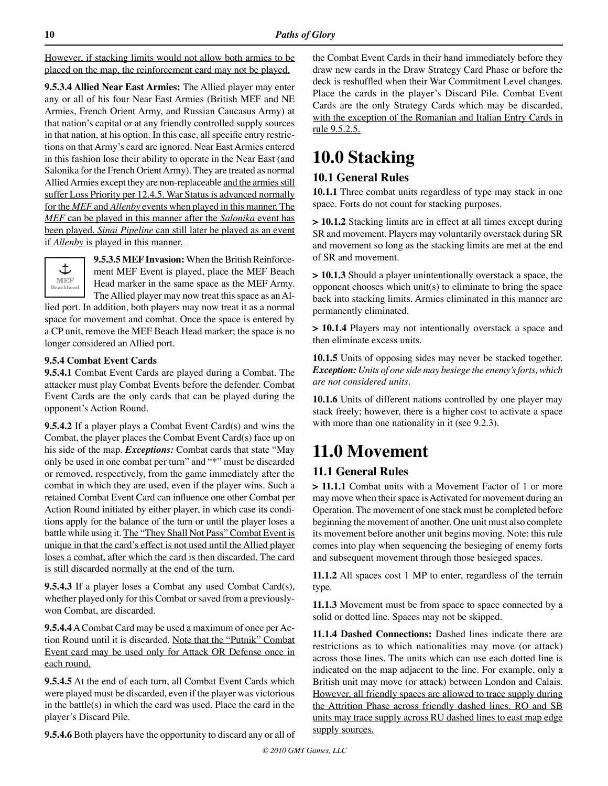However, if stacking limits would not allow both armies to be placed on the map, the reinforcement card may not be played.

**9.5.3.4 Allied Near East Armies:** The Allied player may enter any or all of his four Near East Armies (British MEF and NE Armies, French Orient Army, and Russian Caucasus Army) at that nation's capital or at any friendly controlled supply sources in that nation, at his option. In this case, all specific entry restrictions on that Army's card are ignored. Near East Armies entered in this fashion lose their ability to operate in the Near East (and Salonika for the French Orient Army). They are treated as normal Allied Armies except they are non-replaceable and the armies still suffer Loss Priority per 12.4.5. War Status is advanced normally for the *MEF* and *Allenby* events when played in this manner. The *MEF* can be played in this manner after the *Salonika* event has been played. *Sinai Pipeline* can still later be played as an event if *Allenby* is played in this manner.



**9.5.3.5 MEF Invasion:** When the British Reinforcement MEF Event is played, place the MEF Beach Head marker in the same space as the MEF Army. The Allied player may now treat this space as an Al-

lied port. In addition, both players may now treat it as a normal space for movement and combat. Once the space is entered by a CP unit, remove the MEF Beach Head marker; the space is no longer considered an Allied port.

#### **9.5.4 Combat Event Cards**

**9.5.4.1** Combat Event Cards are played during a Combat. The attacker must play Combat Events before the defender. Combat Event Cards are the only cards that can be played during the opponent's Action Round.

**9.5.4.2** If a player plays a Combat Event Card(s) and wins the Combat, the player places the Combat Event Card(s) face up on his side of the map. *Exceptions:* Combat cards that state "May only be used in one combat per turn" and "\*" must be discarded or removed, respectively, from the game immediately after the combat in which they are used, even if the player wins. Such a retained Combat Event Card can influence one other Combat per Action Round initiated by either player, in which case its conditions apply for the balance of the turn or until the player loses a battle while using it. The "They Shall Not Pass" Combat Event is unique in that the card's effect is not used until the Allied player loses a combat, after which the card is then discarded. The card is still discarded normally at the end of the turn.

**9.5.4.3** If a player loses a Combat any used Combat Card(s), whether played only for this Combat or saved from a previouslywon Combat, are discarded.

**9.5.4.4** A Combat Card may be used a maximum of once per Action Round until it is discarded. Note that the "Putnik" Combat Event card may be used only for Attack OR Defense once in each round.

**9.5.4.5** At the end of each turn, all Combat Event Cards which were played must be discarded, even if the player was victorious in the battle(s) in which the card was used. Place the card in the player's Discard Pile.

**9.5.4.6** Both players have the opportunity to discard any or all of

the Combat Event Cards in their hand immediately before they draw new cards in the Draw Strategy Card Phase or before the deck is reshuffled when their War Commitment Level changes. Place the cards in the player's Discard Pile. Combat Event Cards are the only Strategy Cards which may be discarded, with the exception of the Romanian and Italian Entry Cards in rule 9.5.2.5.

# **10.0 Stacking**

# **10.1 General Rules**

**10.1.1** Three combat units regardless of type may stack in one space. Forts do not count for stacking purposes.

**> 10.1.2** Stacking limits are in effect at all times except during SR and movement. Players may voluntarily overstack during SR and movement so long as the stacking limits are met at the end of SR and movement.

**> 10.1.3** Should a player unintentionally overstack a space, the opponent chooses which unit(s) to eliminate to bring the space back into stacking limits. Armies eliminated in this manner are permanently eliminated.

**> 10.1.4** Players may not intentionally overstack a space and then eliminate excess units.

**10.1.5** Units of opposing sides may never be stacked together. *Exception: Units of one side may besiege the enemy's forts, which are not considered units.* 

**10.1.6** Units of different nations controlled by one player may stack freely; however, there is a higher cost to activate a space with more than one nationality in it (see 9.2.3).

# **11.0 Movement**

# **11.1 General Rules**

**> 11.1.1** Combat units with a Movement Factor of 1 or more may move when their space is Activated for movement during an Operation. The movement of one stack must be completed before beginning the movement of another. One unit must also complete its movement before another unit begins moving. Note: this rule comes into play when sequencing the besieging of enemy forts and subsequent movement through those besieged spaces.

**11.1.2** All spaces cost 1 MP to enter, regardless of the terrain type.

**11.1.3** Movement must be from space to space connected by a solid or dotted line. Spaces may not be skipped.

**11.1.4 Dashed Connections:** Dashed lines indicate there are restrictions as to which nationalities may move (or attack) across those lines. The units which can use each dotted line is indicated on the map adjacent to the line. For example, only a British unit may move (or attack) between London and Calais. However, all friendly spaces are allowed to trace supply during the Attrition Phase across friendly dashed lines. RO and SB units may trace supply across RU dashed lines to east map edge supply sources.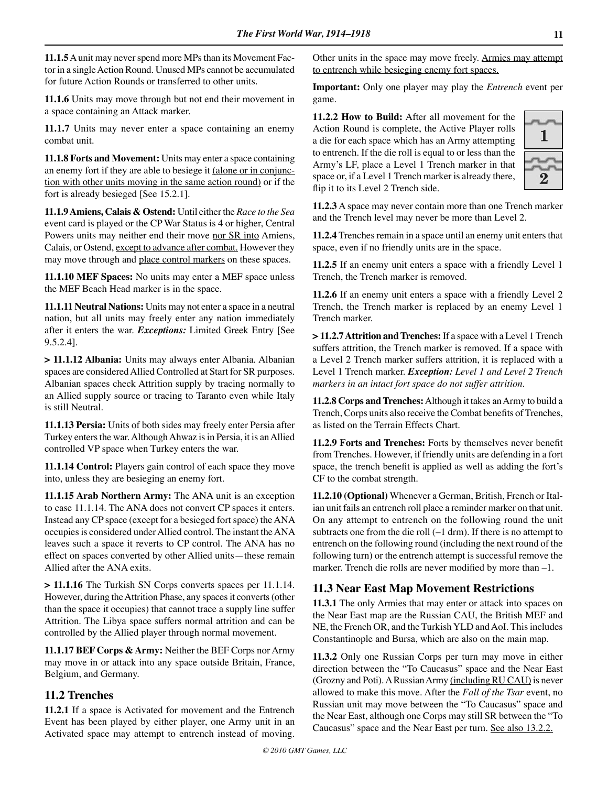**11.1.5** A unit may never spend more MPs than its Movement Factor in a single Action Round. Unused MPs cannot be accumulated for future Action Rounds or transferred to other units.

**11.1.6** Units may move through but not end their movement in a space containing an Attack marker.

**11.1.7** Units may never enter a space containing an enemy combat unit.

**11.1.8 Forts and Movement:** Units may enter a space containing an enemy fort if they are able to besiege it (alone or in conjunction with other units moving in the same action round) or if the fort is already besieged [See 15.2.1].

**11.1.9 Amiens, Calais & Ostend:** Until either the *Race to the Sea* event card is played or the CP War Status is 4 or higher, Central Powers units may neither end their move nor SR into Amiens, Calais, or Ostend, except to advance after combat. However they may move through and place control markers on these spaces.

**11.1.10 MEF Spaces:** No units may enter a MEF space unless the MEF Beach Head marker is in the space.

**11.1.11 Neutral Nations:** Units may not enter a space in a neutral nation, but all units may freely enter any nation immediately after it enters the war. *Exceptions:* Limited Greek Entry [See 9.5.2.4].

**> 11.1.12 Albania:** Units may always enter Albania. Albanian spaces are considered Allied Controlled at Start for SR purposes. Albanian spaces check Attrition supply by tracing normally to an Allied supply source or tracing to Taranto even while Italy is still Neutral.

**11.1.13 Persia:** Units of both sides may freely enter Persia after Turkey enters the war. Although Ahwaz is in Persia, it is an Allied controlled VP space when Turkey enters the war.

**11.1.14 Control:** Players gain control of each space they move into, unless they are besieging an enemy fort.

**11.1.15 Arab Northern Army:** The ANA unit is an exception to case 11.1.14. The ANA does not convert CP spaces it enters. Instead any CP space (except for a besieged fort space) the ANA occupies is considered under Allied control. The instant the ANA leaves such a space it reverts to CP control. The ANA has no effect on spaces converted by other Allied units—these remain Allied after the ANA exits.

**> 11.1.16** The Turkish SN Corps converts spaces per 11.1.14. However, during the Attrition Phase, any spaces it converts (other than the space it occupies) that cannot trace a supply line suffer Attrition. The Libya space suffers normal attrition and can be controlled by the Allied player through normal movement.

**11.1.17 BEF Corps & Army:** Neither the BEF Corps nor Army may move in or attack into any space outside Britain, France, Belgium, and Germany.

# **11.2 Trenches**

**11.2.1** If a space is Activated for movement and the Entrench Event has been played by either player, one Army unit in an Activated space may attempt to entrench instead of moving. Other units in the space may move freely. Armies may attempt to entrench while besieging enemy fort spaces.

**Important:** Only one player may play the *Entrench* event per game.

**11.2.2 How to Build:** After all movement for the Action Round is complete, the Active Player rolls a die for each space which has an Army attempting to entrench. If the die roll is equal to or less than the Army's LF, place a Level 1 Trench marker in that space or, if a Level 1 Trench marker is already there, flip it to its Level 2 Trench side.



**11.2.3** A space may never contain more than one Trench marker and the Trench level may never be more than Level 2.

**11.2.4** Trenches remain in a space until an enemy unit enters that space, even if no friendly units are in the space.

**11.2.5** If an enemy unit enters a space with a friendly Level 1 Trench, the Trench marker is removed.

**11.2.6** If an enemy unit enters a space with a friendly Level 2 Trench, the Trench marker is replaced by an enemy Level 1 Trench marker.

**> 11.2.7 Attrition and Trenches:** If a space with a Level 1 Trench suffers attrition, the Trench marker is removed. If a space with a Level 2 Trench marker suffers attrition, it is replaced with a Level 1 Trench marker. *Exception: Level 1 and Level 2 Trench markers in an intact fort space do not suffer attrition.*

**11.2.8 Corps and Trenches:** Although it takes an Army to build a Trench, Corps units also receive the Combat benefits of Trenches, as listed on the Terrain Effects Chart.

**11.2.9 Forts and Trenches:** Forts by themselves never benefit from Trenches. However, if friendly units are defending in a fort space, the trench benefit is applied as well as adding the fort's CF to the combat strength.

**11.2.10 (Optional)** Whenever a German, British, French or Italian unit fails an entrench roll place a reminder marker on that unit. On any attempt to entrench on the following round the unit subtracts one from the die roll (–1 drm). If there is no attempt to entrench on the following round (including the next round of the following turn) or the entrench attempt is successful remove the marker. Trench die rolls are never modified by more than –1.

# **11.3 Near East Map Movement Restrictions**

**11.3.1** The only Armies that may enter or attack into spaces on the Near East map are the Russian CAU, the British MEF and NE, the French OR, and the Turkish YLD and AoI. This includes Constantinople and Bursa, which are also on the main map.

**11.3.2** Only one Russian Corps per turn may move in either direction between the "To Caucasus" space and the Near East (Grozny and Poti). A Russian Army (including RU CAU) is never allowed to make this move. After the *Fall of the Tsar* event, no Russian unit may move between the "To Caucasus" space and the Near East, although one Corps may still SR between the "To Caucasus" space and the Near East per turn. See also 13.2.2.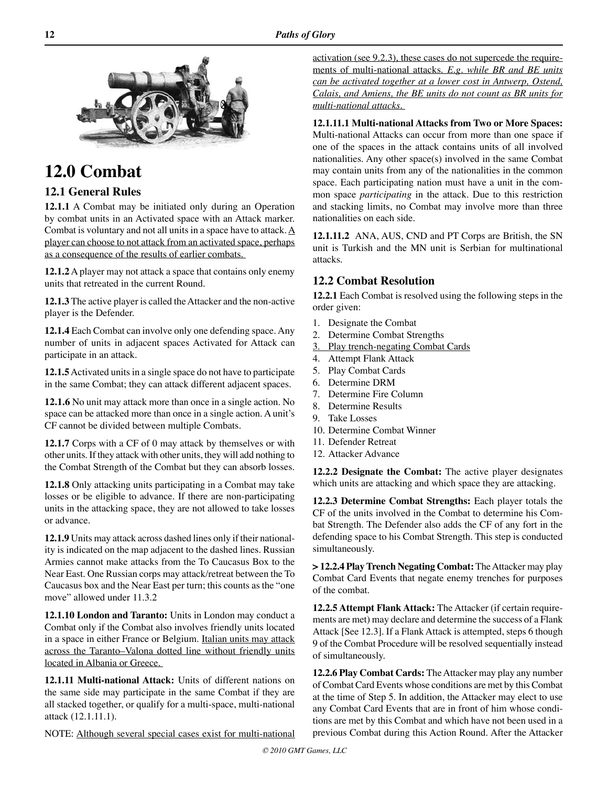

# **12.0 Combat**

# **12.1 General Rules**

**12.1.1** A Combat may be initiated only during an Operation by combat units in an Activated space with an Attack marker. Combat is voluntary and not all units in a space have to attack.  $\underline{A}$ player can choose to not attack from an activated space, perhaps as a consequence of the results of earlier combats.

**12.1.2** A player may not attack a space that contains only enemy units that retreated in the current Round.

**12.1.3** The active player is called the Attacker and the non-active player is the Defender.

**12.1.4** Each Combat can involve only one defending space. Any number of units in adjacent spaces Activated for Attack can participate in an attack.

**12.1.5** Activated units in a single space do not have to participate in the same Combat; they can attack different adjacent spaces.

**12.1.6** No unit may attack more than once in a single action. No space can be attacked more than once in a single action. A unit's CF cannot be divided between multiple Combats.

**12.1.7** Corps with a CF of 0 may attack by themselves or with other units. If they attack with other units, they will add nothing to the Combat Strength of the Combat but they can absorb losses.

**12.1.8** Only attacking units participating in a Combat may take losses or be eligible to advance. If there are non-participating units in the attacking space, they are not allowed to take losses or advance.

**12.1.9** Units may attack across dashed lines only if their nationality is indicated on the map adjacent to the dashed lines. Russian Armies cannot make attacks from the To Caucasus Box to the Near East. One Russian corps may attack/retreat between the To Caucasus box and the Near East per turn; this counts as the "one move" allowed under 11.3.2

**12.1.10 London and Taranto:** Units in London may conduct a Combat only if the Combat also involves friendly units located in a space in either France or Belgium. Italian units may attack across the Taranto–Valona dotted line without friendly units located in Albania or Greece.

**12.1.11 Multi-national Attack:** Units of different nations on the same side may participate in the same Combat if they are all stacked together, or qualify for a multi-space, multi-national attack (12.1.11.1).

NOTE: Although several special cases exist for multi-national

activation (see 9.2.3), these cases do not supercede the requirements of multi-national attacks. *E.g. while BR and BE units can be activated together at a lower cost in Antwerp, Ostend, Calais, and Amiens, the BE units do not count as BR units for multi-national attacks.* 

**12.1.11.1 Multi-national Attacks from Two or More Spaces:** Multi-national Attacks can occur from more than one space if one of the spaces in the attack contains units of all involved nationalities. Any other space(s) involved in the same Combat may contain units from any of the nationalities in the common space. Each participating nation must have a unit in the common space *participating* in the attack. Due to this restriction and stacking limits, no Combat may involve more than three nationalities on each side.

**12.1.11.2** ANA, AUS, CND and PT Corps are British, the SN unit is Turkish and the MN unit is Serbian for multinational attacks.

# **12.2 Combat Resolution**

**12.2.1** Each Combat is resolved using the following steps in the order given:

- 1. Designate the Combat
- 2. Determine Combat Strengths
- 3. Play trench-negating Combat Cards
- 4. Attempt Flank Attack
- 5. Play Combat Cards
- 6. Determine DRM
- 7. Determine Fire Column
- 8. Determine Results
- 9. Take Losses
- 10. Determine Combat Winner
- 11. Defender Retreat
- 12. Attacker Advance

**12.2.2 Designate the Combat:** The active player designates which units are attacking and which space they are attacking.

**12.2.3 Determine Combat Strengths:** Each player totals the CF of the units involved in the Combat to determine his Combat Strength. The Defender also adds the CF of any fort in the defending space to his Combat Strength. This step is conducted simultaneously.

**> 12.2.4 Play Trench Negating Combat:** The Attacker may play Combat Card Events that negate enemy trenches for purposes of the combat.

**12.2.5 Attempt Flank Attack:** The Attacker (if certain requirements are met) may declare and determine the success of a Flank Attack [See 12.3]. If a Flank Attack is attempted, steps 6 though 9 of the Combat Procedure will be resolved sequentially instead of simultaneously.

**12.2.6 Play Combat Cards:** The Attacker may play any number of Combat Card Events whose conditions are met by this Combat at the time of Step 5. In addition, the Attacker may elect to use any Combat Card Events that are in front of him whose conditions are met by this Combat and which have not been used in a previous Combat during this Action Round. After the Attacker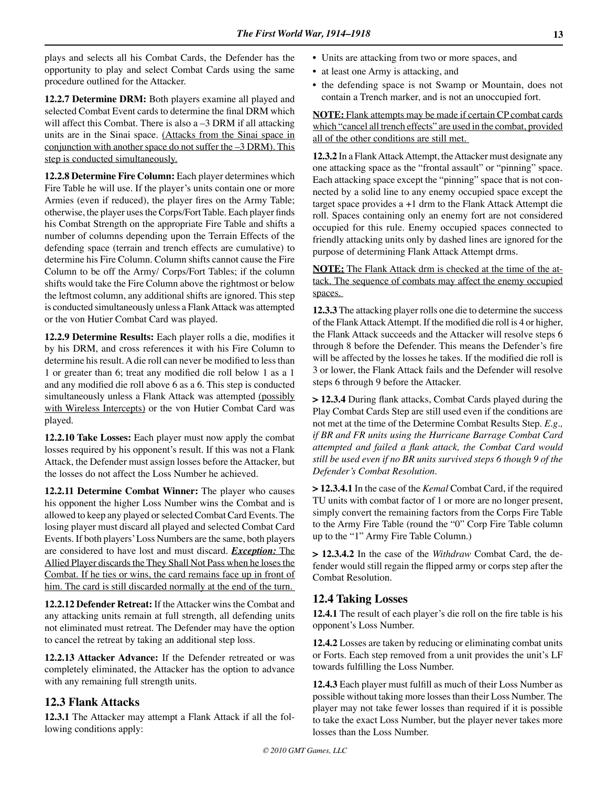plays and selects all his Combat Cards, the Defender has the opportunity to play and select Combat Cards using the same procedure outlined for the Attacker.

**12.2.7 Determine DRM:** Both players examine all played and selected Combat Event cards to determine the final DRM which will affect this Combat. There is also a -3 DRM if all attacking units are in the Sinai space. (Attacks from the Sinai space in conjunction with another space do not suffer the -3 DRM). This step is conducted simultaneously.

**12.2.8 Determine Fire Column:** Each player determines which Fire Table he will use. If the player's units contain one or more Armies (even if reduced), the player fires on the Army Table; otherwise, the player uses the Corps/Fort Table. Each player finds his Combat Strength on the appropriate Fire Table and shifts a number of columns depending upon the Terrain Effects of the defending space (terrain and trench effects are cumulative) to determine his Fire Column. Column shifts cannot cause the Fire Column to be off the Army/ Corps/Fort Tables; if the column shifts would take the Fire Column above the rightmost or below the leftmost column, any additional shifts are ignored. This step is conducted simultaneously unless a Flank Attack was attempted or the von Hutier Combat Card was played.

**12.2.9 Determine Results:** Each player rolls a die, modifies it by his DRM, and cross references it with his Fire Column to determine his result. A die roll can never be modified to less than 1 or greater than 6; treat any modified die roll below 1 as a 1 and any modified die roll above 6 as a 6. This step is conducted simultaneously unless a Flank Attack was attempted (possibly with Wireless Intercepts) or the von Hutier Combat Card was played.

**12.2.10 Take Losses:** Each player must now apply the combat losses required by his opponent's result. If this was not a Flank Attack, the Defender must assign losses before the Attacker, but the losses do not affect the Loss Number he achieved.

**12.2.11 Determine Combat Winner:** The player who causes his opponent the higher Loss Number wins the Combat and is allowed to keep any played or selected Combat Card Events. The losing player must discard all played and selected Combat Card Events. If both players' Loss Numbers are the same, both players are considered to have lost and must discard. *Exception:* The Allied Player discards the They Shall Not Pass when he loses the Combat. If he ties or wins, the card remains face up in front of him. The card is still discarded normally at the end of the turn.

**12.2.12 Defender Retreat:** If the Attacker wins the Combat and any attacking units remain at full strength, all defending units not eliminated must retreat. The Defender may have the option to cancel the retreat by taking an additional step loss.

**12.2.13 Attacker Advance:** If the Defender retreated or was completely eliminated, the Attacker has the option to advance with any remaining full strength units.

## **12.3 Flank Attacks**

**12.3.1** The Attacker may attempt a Flank Attack if all the following conditions apply:

- Units are attacking from two or more spaces, and
- at least one Army is attacking, and
- the defending space is not Swamp or Mountain, does not contain a Trench marker, and is not an unoccupied fort.

**NOTE:** Flank attempts may be made if certain CP combat cards which "cancel all trench effects" are used in the combat, provided all of the other conditions are still met.

**12.3.2** In a Flank Attack Attempt, the Attacker must designate any one attacking space as the "frontal assault" or "pinning" space. Each attacking space except the "pinning" space that is not connected by a solid line to any enemy occupied space except the target space provides a +1 drm to the Flank Attack Attempt die roll. Spaces containing only an enemy fort are not considered occupied for this rule. Enemy occupied spaces connected to friendly attacking units only by dashed lines are ignored for the purpose of determining Flank Attack Attempt drms.

**NOTE:** The Flank Attack drm is checked at the time of the attack. The sequence of combats may affect the enemy occupied spaces.

**12.3.3** The attacking player rolls one die to determine the success of the Flank Attack Attempt. If the modified die roll is 4 or higher, the Flank Attack succeeds and the Attacker will resolve steps 6 through 8 before the Defender. This means the Defender's fire will be affected by the losses he takes. If the modified die roll is 3 or lower, the Flank Attack fails and the Defender will resolve steps 6 through 9 before the Attacker.

**> 12.3.4** During flank attacks, Combat Cards played during the Play Combat Cards Step are still used even if the conditions are not met at the time of the Determine Combat Results Step. *E.g., if BR and FR units using the Hurricane Barrage Combat Card attempted and failed a flank attack, the Combat Card would still be used even if no BR units survived steps 6 though 9 of the Defender's Combat Resolution.* 

**> 12.3.4.1** In the case of the *Kemal* Combat Card, if the required TU units with combat factor of 1 or more are no longer present, simply convert the remaining factors from the Corps Fire Table to the Army Fire Table (round the "0" Corp Fire Table column up to the "1" Army Fire Table Column.)

**> 12.3.4.2** In the case of the *Withdraw* Combat Card, the defender would still regain the flipped army or corps step after the Combat Resolution.

## **12.4 Taking Losses**

**12.4.1** The result of each player's die roll on the fire table is his opponent's Loss Number.

**12.4.2** Losses are taken by reducing or eliminating combat units or Forts. Each step removed from a unit provides the unit's LF towards fulfilling the Loss Number.

**12.4.3** Each player must fulfill as much of their Loss Number as possible without taking more losses than their Loss Number. The player may not take fewer losses than required if it is possible to take the exact Loss Number, but the player never takes more losses than the Loss Number.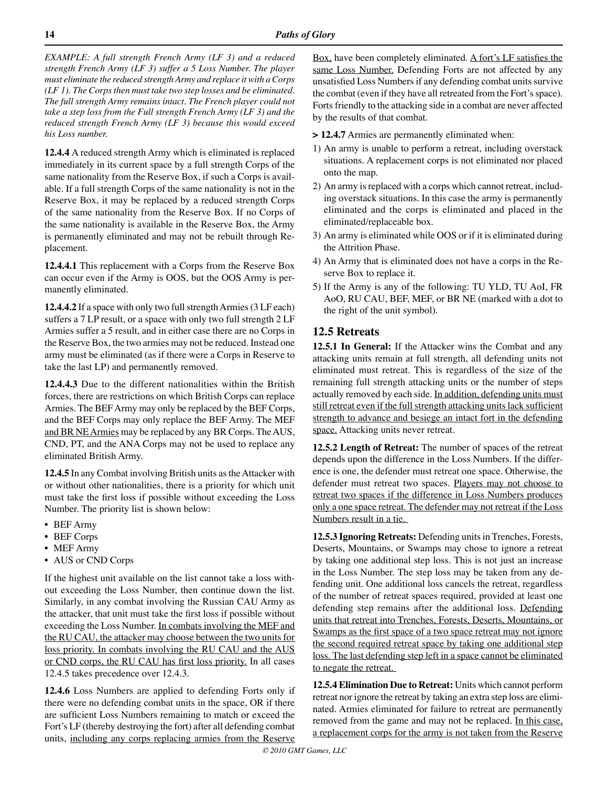*EXAMPLE: A full strength French Army (LF 3) and a reduced strength French Army (LF 3) suffer a 5 Loss Number. The player must eliminate the reduced strength Army and replace it with a Corps (LF 1). The Corps then must take two step losses and be eliminated. The full strength Army remains intact. The French player could not take a step loss from the Full strength French Army (LF 3) and the reduced strength French Army (LF 3) because this would exceed his Loss number.* 

**12.4.4** A reduced strength Army which is eliminated is replaced immediately in its current space by a full strength Corps of the same nationality from the Reserve Box, if such a Corps is available. If a full strength Corps of the same nationality is not in the Reserve Box, it may be replaced by a reduced strength Corps of the same nationality from the Reserve Box. If no Corps of the same nationality is available in the Reserve Box, the Army is permanently eliminated and may not be rebuilt through Replacement.

**12.4.4.1** This replacement with a Corps from the Reserve Box can occur even if the Army is OOS, but the OOS Army is permanently eliminated.

**12.4.4.2** If a space with only two full strength Armies (3 LF each) suffers a 7 LP result, or a space with only two full strength 2 LF Armies suffer a 5 result, and in either case there are no Corps in the Reserve Box, the two armies may not be reduced. Instead one army must be eliminated (as if there were a Corps in Reserve to take the last LP) and permanently removed.

**12.4.4.3** Due to the different nationalities within the British forces, there are restrictions on which British Corps can replace Armies. The BEF Army may only be replaced by the BEF Corps, and the BEF Corps may only replace the BEF Army. The MEF and BR NE Armies may be replaced by any BR Corps. The AUS, CND, PT, and the ANA Corps may not be used to replace any eliminated British Army.

**12.4.5** In any Combat involving British units as the Attacker with or without other nationalities, there is a priority for which unit must take the first loss if possible without exceeding the Loss Number. The priority list is shown below:

- BEF Army
- BEF Corps
- MEF Army
- AUS or CND Corps

If the highest unit available on the list cannot take a loss without exceeding the Loss Number, then continue down the list. Similarly, in any combat involving the Russian CAU Army as the attacker, that unit must take the first loss if possible without exceeding the Loss Number. In combats involving the MEF and the RU CAU, the attacker may choose between the two units for loss priority. In combats involving the RU CAU and the AUS or CND corps, the RU CAU has first loss priority. In all cases 12.4.5 takes precedence over 12.4.3.

**12.4.6** Loss Numbers are applied to defending Forts only if there were no defending combat units in the space, OR if there are sufficient Loss Numbers remaining to match or exceed the Fort's LF (thereby destroying the fort) after all defending combat units, including any corps replacing armies from the Reserve Box, have been completely eliminated.  $\triangle$  fort's LF satisfies the same Loss Number. Defending Forts are not affected by any unsatisfied Loss Numbers if any defending combat units survive the combat (even if they have all retreated from the Fort's space). Forts friendly to the attacking side in a combat are never affected by the results of that combat.

**> 12.4.7** Armies are permanently eliminated when:

- 1) An army is unable to perform a retreat, including overstack situations. A replacement corps is not eliminated nor placed onto the map.
- 2) An army is replaced with a corps which cannot retreat, including overstack situations. In this case the army is permanently eliminated and the corps is eliminated and placed in the eliminated/replaceable box.
- 3) An army is eliminated while OOS or if it is eliminated during the Attrition Phase.
- 4) An Army that is eliminated does not have a corps in the Reserve Box to replace it.
- 5) If the Army is any of the following: TU YLD, TU AoI, FR AoO, RU CAU, BEF, MEF, or BR NE (marked with a dot to the right of the unit symbol).

# **12.5 Retreats**

**12.5.1 In General:** If the Attacker wins the Combat and any attacking units remain at full strength, all defending units not eliminated must retreat. This is regardless of the size of the remaining full strength attacking units or the number of steps actually removed by each side. In addition, defending units must still retreat even if the full strength attacking units lack sufficient strength to advance and besiege an intact fort in the defending space. Attacking units never retreat.

**12.5.2 Length of Retreat:** The number of spaces of the retreat depends upon the difference in the Loss Numbers. If the difference is one, the defender must retreat one space. Otherwise, the defender must retreat two spaces. Players may not choose to retreat two spaces if the difference in Loss Numbers produces only a one space retreat. The defender may not retreat if the Loss Numbers result in a tie.

**12.5.3 Ignoring Retreats:** Defending units in Trenches, Forests, Deserts, Mountains, or Swamps may chose to ignore a retreat by taking one additional step loss. This is not just an increase in the Loss Number. The step loss may be taken from any defending unit. One additional loss cancels the retreat, regardless of the number of retreat spaces required, provided at least one defending step remains after the additional loss. Defending units that retreat into Trenches, Forests, Deserts, Mountains, or Swamps as the first space of a two space retreat may not ignore the second required retreat space by taking one additional step loss. The last defending step left in a space cannot be eliminated to negate the retreat.

**12.5.4 Elimination Due to Retreat:** Units which cannot perform retreat nor ignore the retreat by taking an extra step loss are eliminated. Armies eliminated for failure to retreat are permanently removed from the game and may not be replaced. In this case, a replacement corps for the army is not taken from the Reserve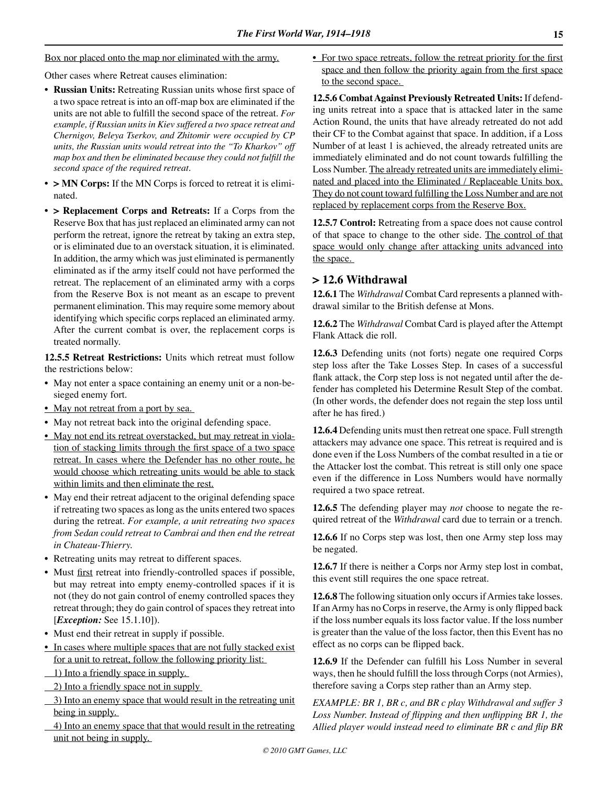Box nor placed onto the map nor eliminated with the army.

Other cases where Retreat causes elimination:

- **• Russian Units:** Retreating Russian units whose first space of a two space retreat is into an off-map box are eliminated if the units are not able to fulfill the second space of the retreat. *For example, if Russian units in Kiev suffered a two space retreat and Chernigov, Beleya Tserkov, and Zhitomir were occupied by CP units, the Russian units would retreat into the "To Kharkov" off map box and then be eliminated because they could not fulfill the second space of the required retreat.*
- **• > MN Corps:** If the MN Corps is forced to retreat it is eliminated.
- **• > Replacement Corps and Retreats:** If a Corps from the Reserve Box that has just replaced an eliminated army can not perform the retreat, ignore the retreat by taking an extra step, or is eliminated due to an overstack situation, it is eliminated. In addition, the army which was just eliminated is permanently eliminated as if the army itself could not have performed the retreat. The replacement of an eliminated army with a corps from the Reserve Box is not meant as an escape to prevent permanent elimination. This may require some memory about identifying which specific corps replaced an eliminated army. After the current combat is over, the replacement corps is treated normally.

**12.5.5 Retreat Restrictions:** Units which retreat must follow the restrictions below:

- May not enter a space containing an enemy unit or a non-besieged enemy fort.
- May not retreat from a port by sea.
- May not retreat back into the original defending space.
- May not end its retreat overstacked, but may retreat in violation of stacking limits through the first space of a two space retreat. In cases where the Defender has no other route, he would choose which retreating units would be able to stack within limits and then eliminate the rest.
- May end their retreat adjacent to the original defending space if retreating two spaces as long as the units entered two spaces during the retreat. *For example, a unit retreating two spaces from Sedan could retreat to Cambrai and then end the retreat in Chateau-Thierry.*
- Retreating units may retreat to different spaces.
- Must first retreat into friendly-controlled spaces if possible, but may retreat into empty enemy-controlled spaces if it is not (they do not gain control of enemy controlled spaces they retreat through; they do gain control of spaces they retreat into [*Exception:* See 15.1.10]).
- Must end their retreat in supply if possible.
- In cases where multiple spaces that are not fully stacked exist for a unit to retreat, follow the following priority list:
- 1) Into a friendly space in supply.
- 2) Into a friendly space not in supply
- 3) Into an enemy space that would result in the retreating unit being in supply.
- 4) Into an enemy space that that would result in the retreating unit not being in supply.

• For two space retreats, follow the retreat priority for the first space and then follow the priority again from the first space to the second space.

**12.5.6 Combat Against Previously Retreated Units:** If defending units retreat into a space that is attacked later in the same Action Round, the units that have already retreated do not add their CF to the Combat against that space. In addition, if a Loss Number of at least 1 is achieved, the already retreated units are immediately eliminated and do not count towards fulfilling the Loss Number. The already retreated units are immediately eliminated and placed into the Eliminated / Replaceable Units box. They do not count toward fulfilling the Loss Number and are not replaced by replacement corps from the Reserve Box.

**12.5.7 Control:** Retreating from a space does not cause control of that space to change to the other side. The control of that space would only change after attacking units advanced into the space.

# **> 12.6 Withdrawal**

**12.6.1** The *Withdrawal* Combat Card represents a planned withdrawal similar to the British defense at Mons.

**12.6.2** The *Withdrawal* Combat Card is played after the Attempt Flank Attack die roll.

**12.6.3** Defending units (not forts) negate one required Corps step loss after the Take Losses Step. In cases of a successful flank attack, the Corp step loss is not negated until after the defender has completed his Determine Result Step of the combat. (In other words, the defender does not regain the step loss until after he has fired.)

**12.6.4** Defending units must then retreat one space. Full strength attackers may advance one space. This retreat is required and is done even if the Loss Numbers of the combat resulted in a tie or the Attacker lost the combat. This retreat is still only one space even if the difference in Loss Numbers would have normally required a two space retreat.

**12.6.5** The defending player may *not* choose to negate the required retreat of the *Withdrawal* card due to terrain or a trench.

**12.6.6** If no Corps step was lost, then one Army step loss may be negated.

**12.6.7** If there is neither a Corps nor Army step lost in combat, this event still requires the one space retreat.

**12.6.8** The following situation only occurs if Armies take losses. If an Army has no Corps in reserve, the Army is only flipped back if the loss number equals its loss factor value. If the loss number is greater than the value of the loss factor, then this Event has no effect as no corps can be flipped back.

**12.6.9** If the Defender can fulfill his Loss Number in several ways, then he should fulfill the loss through Corps (not Armies), therefore saving a Corps step rather than an Army step.

*EXAMPLE: BR 1, BR c, and BR c play Withdrawal and suffer 3 Loss Number. Instead of flipping and then unflipping BR 1, the Allied player would instead need to eliminate BR c and flip BR*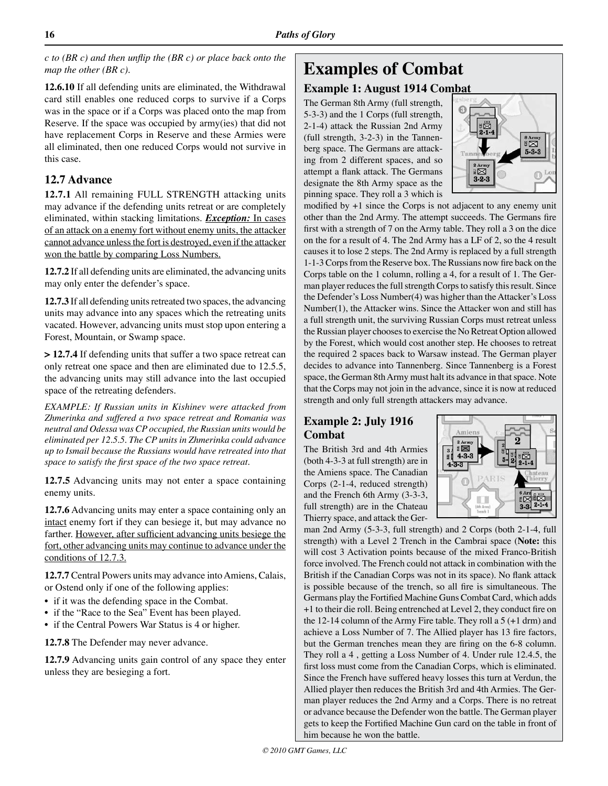*c to (BR c) and then unflip the (BR c) or place back onto the map the other (BR c).* 

**12.6.10** If all defending units are eliminated, the Withdrawal card still enables one reduced corps to survive if a Corps was in the space or if a Corps was placed onto the map from Reserve. If the space was occupied by army(ies) that did not have replacement Corps in Reserve and these Armies were all eliminated, then one reduced Corps would not survive in this case.

# **12.7 Advance**

**12.7.1** All remaining FULL STRENGTH attacking units may advance if the defending units retreat or are completely eliminated, within stacking limitations. *Exception:* In cases of an attack on a enemy fort without enemy units, the attacker cannot advance unless the fort is destroyed, even if the attacker won the battle by comparing Loss Numbers.

**12.7.2** If all defending units are eliminated, the advancing units may only enter the defender's space.

**12.7.3** If all defending units retreated two spaces, the advancing units may advance into any spaces which the retreating units vacated. However, advancing units must stop upon entering a Forest, Mountain, or Swamp space.

**> 12.7.4** If defending units that suffer a two space retreat can only retreat one space and then are eliminated due to 12.5.5, the advancing units may still advance into the last occupied space of the retreating defenders.

*EXAMPLE: If Russian units in Kishinev were attacked from Zhmerinka and suffered a two space retreat and Romania was neutral and Odessa was CP occupied, the Russian units would be eliminated per 12.5.5. The CP units in Zhmerinka could advance up to Ismail because the Russians would have retreated into that space to satisfy the first space of the two space retreat.* 

**12.7.5** Advancing units may not enter a space containing enemy units.

**12.7.6** Advancing units may enter a space containing only an intact enemy fort if they can besiege it, but may advance no farther. However, after sufficient advancing units besiege the fort, other advancing units may continue to advance under the conditions of 12.7.3.

**12.7.7** Central Powers units may advance into Amiens, Calais, or Ostend only if one of the following applies:

- if it was the defending space in the Combat.
- if the "Race to the Sea" Event has been played.
- if the Central Powers War Status is 4 or higher.

**12.7.8** The Defender may never advance.

**12.7.9** Advancing units gain control of any space they enter unless they are besieging a fort.

# **Examples of Combat**

# **Example 1: August 1914 Combat**

The German 8th Army (full strength, 5-3-3) and the 1 Corps (full strength, 2-1-4) attack the Russian 2nd Army (full strength, 3-2-3) in the Tannenberg space. The Germans are attacking from 2 different spaces, and so attempt a flank attack. The Germans designate the 8th Army space as the pinning space. They roll a 3 which is



modified by +1 since the Corps is not adjacent to any enemy unit other than the 2nd Army. The attempt succeeds. The Germans fire first with a strength of 7 on the Army table. They roll a 3 on the dice on the for a result of 4. The 2nd Army has a LF of 2, so the 4 result causes it to lose 2 steps. The 2nd Army is replaced by a full strength 1-1-3 Corps from the Reserve box. The Russians now fire back on the Corps table on the 1 column, rolling a 4, for a result of 1. The German player reduces the full strength Corps to satisfy this result. Since the Defender's Loss Number(4) was higher than the Attacker's Loss Number(1), the Attacker wins. Since the Attacker won and still has a full strength unit, the surviving Russian Corps must retreat unless the Russian player chooses to exercise the No Retreat Option allowed by the Forest, which would cost another step. He chooses to retreat the required 2 spaces back to Warsaw instead. The German player decides to advance into Tannenberg. Since Tannenberg is a Forest space, the German 8th Army must halt its advance in that space. Note that the Corps may not join in the advance, since it is now at reduced strength and only full strength attackers may advance.

# **Example 2: July 1916 Combat**

The British 3rd and 4th Armies (both 4-3-3 at full strength) are in the Amiens space. The Canadian Corps (2-1-4, reduced strength) and the French 6th Army (3-3-3, full strength) are in the Chateau Thierry space, and attack the Ger-



man 2nd Army (5-3-3, full strength) and 2 Corps (both 2-1-4, full strength) with a Level 2 Trench in the Cambrai space (**Note:** this will cost 3 Activation points because of the mixed Franco-British force involved. The French could not attack in combination with the British if the Canadian Corps was not in its space). No flank attack is possible because of the trench, so all fire is simultaneous. The Germans play the Fortified Machine Guns Combat Card, which adds +1 to their die roll. Being entrenched at Level 2, they conduct fire on the 12-14 column of the Army Fire table. They roll a 5 (+1 drm) and achieve a Loss Number of 7. The Allied player has 13 fire factors, but the German trenches mean they are firing on the 6-8 column. They roll a 4 , getting a Loss Number of 4. Under rule 12.4.5, the first loss must come from the Canadian Corps, which is eliminated. Since the French have suffered heavy losses this turn at Verdun, the Allied player then reduces the British 3rd and 4th Armies. The German player reduces the 2nd Army and a Corps. There is no retreat or advance because the Defender won the battle. The German player gets to keep the Fortified Machine Gun card on the table in front of him because he won the battle.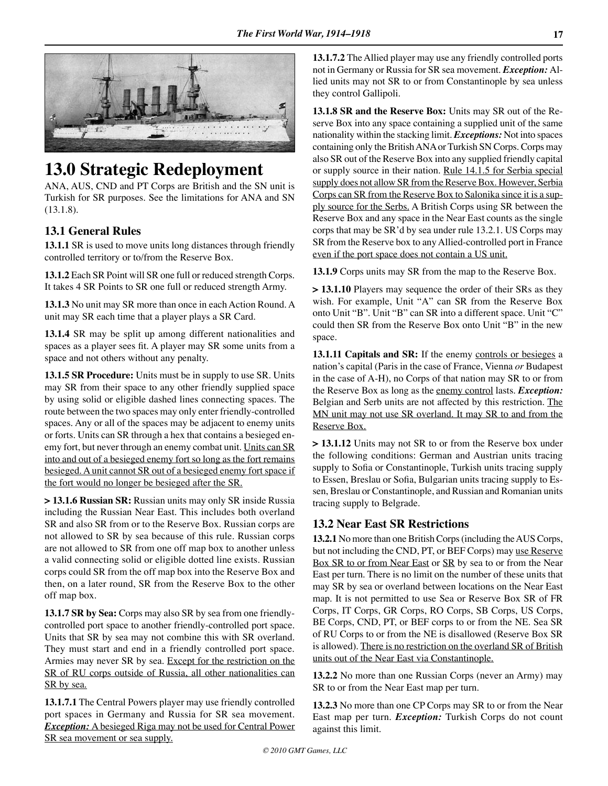

# **13.0 Strategic Redeployment**

ANA, AUS, CND and PT Corps are British and the SN unit is Turkish for SR purposes. See the limitations for ANA and SN (13.1.8).

# **13.1 General Rules**

**13.1.1** SR is used to move units long distances through friendly controlled territory or to/from the Reserve Box.

**13.1.2** Each SR Point will SR one full or reduced strength Corps. It takes 4 SR Points to SR one full or reduced strength Army.

**13.1.3** No unit may SR more than once in each Action Round. A unit may SR each time that a player plays a SR Card.

**13.1.4** SR may be split up among different nationalities and spaces as a player sees fit. A player may SR some units from a space and not others without any penalty.

**13.1.5 SR Procedure:** Units must be in supply to use SR. Units may SR from their space to any other friendly supplied space by using solid or eligible dashed lines connecting spaces. The route between the two spaces may only enter friendly-controlled spaces. Any or all of the spaces may be adjacent to enemy units or forts. Units can SR through a hex that contains a besieged enemy fort, but never through an enemy combat unit. Units can SR into and out of a besieged enemy fort so long as the fort remains besieged. A unit cannot SR out of a besieged enemy fort space if the fort would no longer be besieged after the SR.

**> 13.1.6 Russian SR:** Russian units may only SR inside Russia including the Russian Near East. This includes both overland SR and also SR from or to the Reserve Box. Russian corps are not allowed to SR by sea because of this rule. Russian corps are not allowed to SR from one off map box to another unless a valid connecting solid or eligible dotted line exists. Russian corps could SR from the off map box into the Reserve Box and then, on a later round, SR from the Reserve Box to the other off map box.

**13.1.7 SR by Sea:** Corps may also SR by sea from one friendlycontrolled port space to another friendly-controlled port space. Units that SR by sea may not combine this with SR overland. They must start and end in a friendly controlled port space. Armies may never SR by sea. Except for the restriction on the SR of RU corps outside of Russia, all other nationalities can SR by sea.

**13.1.7.1** The Central Powers player may use friendly controlled port spaces in Germany and Russia for SR sea movement. *Exception:* A besieged Riga may not be used for Central Power SR sea movement or sea supply.

**13.1.7.2** The Allied player may use any friendly controlled ports not in Germany or Russia for SR sea movement. *Exception:* Allied units may not SR to or from Constantinople by sea unless they control Gallipoli.

**13.1.8 SR and the Reserve Box:** Units may SR out of the Reserve Box into any space containing a supplied unit of the same nationality within the stacking limit. *Exceptions:* Not into spaces containing only the British ANA or Turkish SN Corps. Corps may also SR out of the Reserve Box into any supplied friendly capital or supply source in their nation. Rule 14.1.5 for Serbia special supply does not allow SR from the Reserve Box. However, Serbia Corps can SR from the Reserve Box to Salonika since it is a supply source for the Serbs. A British Corps using SR between the Reserve Box and any space in the Near East counts as the single corps that may be SR'd by sea under rule 13.2.1. US Corps may SR from the Reserve box to any Allied-controlled port in France even if the port space does not contain a US unit.

**13.1.9** Corps units may SR from the map to the Reserve Box.

**> 13.1.10** Players may sequence the order of their SRs as they wish. For example, Unit "A" can SR from the Reserve Box onto Unit "B". Unit "B" can SR into a different space. Unit "C" could then SR from the Reserve Box onto Unit "B" in the new space.

**13.1.11 Capitals and SR:** If the enemy controls or besieges a nation's capital (Paris in the case of France, Vienna *or* Budapest in the case of A-H), no Corps of that nation may SR to or from the Reserve Box as long as the enemy control lasts. *Exception:*  Belgian and Serb units are not affected by this restriction. The MN unit may not use SR overland. It may SR to and from the Reserve Box.

**> 13.1.12** Units may not SR to or from the Reserve box under the following conditions: German and Austrian units tracing supply to Sofia or Constantinople, Turkish units tracing supply to Essen, Breslau or Sofia, Bulgarian units tracing supply to Essen, Breslau or Constantinople, and Russian and Romanian units tracing supply to Belgrade.

# **13.2 Near East SR Restrictions**

**13.2.1** No more than one British Corps (including the AUS Corps, but not including the CND, PT, or BEF Corps) may use Reserve Box SR to or from Near East or SR by sea to or from the Near East per turn. There is no limit on the number of these units that may SR by sea or overland between locations on the Near East map. It is not permitted to use Sea or Reserve Box SR of FR Corps, IT Corps, GR Corps, RO Corps, SB Corps, US Corps, BE Corps, CND, PT, or BEF corps to or from the NE. Sea SR of RU Corps to or from the NE is disallowed (Reserve Box SR is allowed). There is no restriction on the overland SR of British units out of the Near East via Constantinople.

**13.2.2** No more than one Russian Corps (never an Army) may SR to or from the Near East map per turn.

**13.2.3** No more than one CP Corps may SR to or from the Near East map per turn. *Exception:* Turkish Corps do not count against this limit.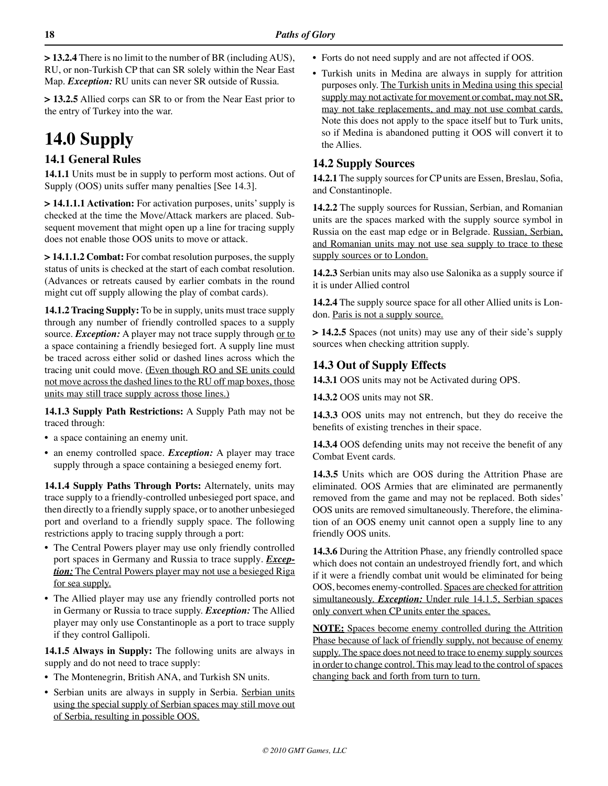**> 13.2.4** There is no limit to the number of BR (including AUS), RU, or non-Turkish CP that can SR solely within the Near East Map. *Exception:* RU units can never SR outside of Russia.

**> 13.2.5** Allied corps can SR to or from the Near East prior to the entry of Turkey into the war.

# **14.0 Supply**

# **14.1 General Rules**

**14.1.1** Units must be in supply to perform most actions. Out of Supply (OOS) units suffer many penalties [See 14.3].

**> 14.1.1.1 Activation:** For activation purposes, units' supply is checked at the time the Move/Attack markers are placed. Subsequent movement that might open up a line for tracing supply does not enable those OOS units to move or attack.

**> 14.1.1.2 Combat:** For combat resolution purposes, the supply status of units is checked at the start of each combat resolution. (Advances or retreats caused by earlier combats in the round might cut off supply allowing the play of combat cards).

**14.1.2 Tracing Supply:** To be in supply, units must trace supply through any number of friendly controlled spaces to a supply source. *Exception:* A player may not trace supply through or to a space containing a friendly besieged fort. A supply line must be traced across either solid or dashed lines across which the tracing unit could move. (Even though RO and SE units could not move across the dashed lines to the RU off map boxes, those units may still trace supply across those lines.)

**14.1.3 Supply Path Restrictions:** A Supply Path may not be traced through:

- a space containing an enemy unit.
- an enemy controlled space. *Exception:* A player may trace supply through a space containing a besieged enemy fort.

**14.1.4 Supply Paths Through Ports:** Alternately, units may trace supply to a friendly-controlled unbesieged port space, and then directly to a friendly supply space, or to another unbesieged port and overland to a friendly supply space. The following restrictions apply to tracing supply through a port:

- **•** The Central Powers player may use only friendly controlled port spaces in Germany and Russia to trace supply. *Exception:* The Central Powers player may not use a besieged Riga for sea supply.
- **•** The Allied player may use any friendly controlled ports not in Germany or Russia to trace supply. *Exception:* The Allied player may only use Constantinople as a port to trace supply if they control Gallipoli.

**14.1.5 Always in Supply:** The following units are always in supply and do not need to trace supply:

- The Montenegrin, British ANA, and Turkish SN units.
- **•** Serbian units are always in supply in Serbia. Serbian units using the special supply of Serbian spaces may still move out of Serbia, resulting in possible OOS.
- Forts do not need supply and are not affected if OOS.
- **•** Turkish units in Medina are always in supply for attrition purposes only. The Turkish units in Medina using this special supply may not activate for movement or combat, may not SR, may not take replacements, and may not use combat cards. Note this does not apply to the space itself but to Turk units, so if Medina is abandoned putting it OOS will convert it to the Allies.

# **14.2 Supply Sources**

**14.2.1** The supply sources for CP units are Essen, Breslau, Sofia, and Constantinople.

**14.2.2** The supply sources for Russian, Serbian, and Romanian units are the spaces marked with the supply source symbol in Russia on the east map edge or in Belgrade. Russian, Serbian, and Romanian units may not use sea supply to trace to these supply sources or to London.

**14.2.3** Serbian units may also use Salonika as a supply source if it is under Allied control

**14.2.4** The supply source space for all other Allied units is London. Paris is not a supply source.

**> 14.2.5** Spaces (not units) may use any of their side's supply sources when checking attrition supply.

# **14.3 Out of Supply Effects**

**14.3.1** OOS units may not be Activated during OPS.

**14.3.2** OOS units may not SR.

**14.3.3** OOS units may not entrench, but they do receive the benefits of existing trenches in their space.

**14.3.4** OOS defending units may not receive the benefit of any Combat Event cards.

**14.3.5** Units which are OOS during the Attrition Phase are eliminated. OOS Armies that are eliminated are permanently removed from the game and may not be replaced. Both sides' OOS units are removed simultaneously. Therefore, the elimination of an OOS enemy unit cannot open a supply line to any friendly OOS units.

**14.3.6** During the Attrition Phase, any friendly controlled space which does not contain an undestroyed friendly fort, and which if it were a friendly combat unit would be eliminated for being OOS, becomes enemy-controlled. Spaces are checked for attrition simultaneously. *Exception:* Under rule 14.1.5, Serbian spaces only convert when CP units enter the spaces.

**NOTE:** Spaces become enemy controlled during the Attrition Phase because of lack of friendly supply, not because of enemy supply. The space does not need to trace to enemy supply sources in order to change control. This may lead to the control of spaces changing back and forth from turn to turn.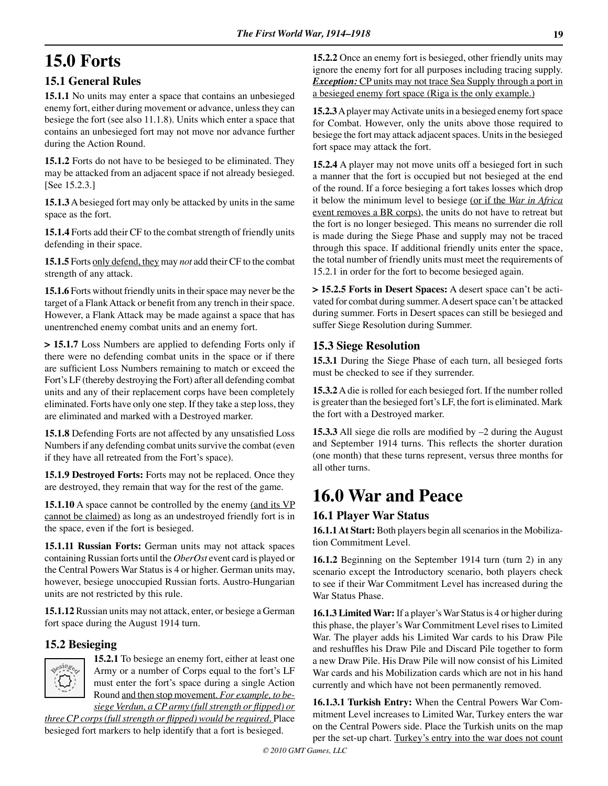# **15.0 Forts**

# **15.1 General Rules**

**15.1.1** No units may enter a space that contains an unbesieged enemy fort, either during movement or advance, unless they can besiege the fort (see also 11.1.8). Units which enter a space that contains an unbesieged fort may not move nor advance further during the Action Round.

**15.1.2** Forts do not have to be besieged to be eliminated. They may be attacked from an adjacent space if not already besieged. [See 15.2.3.]

**15.1.3** A besieged fort may only be attacked by units in the same space as the fort.

**15.1.4** Forts add their CF to the combat strength of friendly units defending in their space.

**15.1.5** Forts only defend, they may *not* add their CF to the combat strength of any attack.

**15.1.6** Forts without friendly units in their space may never be the target of a Flank Attack or benefit from any trench in their space. However, a Flank Attack may be made against a space that has unentrenched enemy combat units and an enemy fort.

**> 15.1.7** Loss Numbers are applied to defending Forts only if there were no defending combat units in the space or if there are sufficient Loss Numbers remaining to match or exceed the Fort's LF (thereby destroying the Fort) after all defending combat units and any of their replacement corps have been completely eliminated. Forts have only one step. If they take a step loss, they are eliminated and marked with a Destroyed marker.

**15.1.8** Defending Forts are not affected by any unsatisfied Loss Numbers if any defending combat units survive the combat (even if they have all retreated from the Fort's space).

**15.1.9 Destroyed Forts:** Forts may not be replaced. Once they are destroyed, they remain that way for the rest of the game.

**15.1.10** A space cannot be controlled by the enemy (and its VP cannot be claimed) as long as an undestroyed friendly fort is in the space, even if the fort is besieged.

**15.1.11 Russian Forts:** German units may not attack spaces containing Russian forts until the *OberOst* event card is played or the Central Powers War Status is 4 or higher. German units may, however, besiege unoccupied Russian forts. Austro-Hungarian units are not restricted by this rule.

**15.1.12** Russian units may not attack, enter, or besiege a German fort space during the August 1914 turn.

## **15.2 Besieging**



**15.2.1** To besiege an enemy fort, either at least one Army or a number of Corps equal to the fort's LF must enter the fort's space during a single Action Round and then stop movement. *For example, to be-*

*siege Verdun, a CP army (full strength or flipped) or three CP corps (full strength or flipped) would be required.* Place besieged fort markers to help identify that a fort is besieged.

**15.2.2** Once an enemy fort is besieged, other friendly units may ignore the enemy fort for all purposes including tracing supply. **Exception:** CP units may not trace Sea Supply through a port in a besieged enemy fort space (Riga is the only example.)

**15.2.3** A player may Activate units in a besieged enemy fort space for Combat. However, only the units above those required to besiege the fort may attack adjacent spaces. Units in the besieged fort space may attack the fort.

**15.2.4** A player may not move units off a besieged fort in such a manner that the fort is occupied but not besieged at the end of the round. If a force besieging a fort takes losses which drop it below the minimum level to besiege (or if the *War in Africa*  event removes a BR corps), the units do not have to retreat but the fort is no longer besieged. This means no surrender die roll is made during the Siege Phase and supply may not be traced through this space. If additional friendly units enter the space, the total number of friendly units must meet the requirements of 15.2.1 in order for the fort to become besieged again.

**> 15.2.5 Forts in Desert Spaces:** A desert space can't be activated for combat during summer. A desert space can't be attacked during summer. Forts in Desert spaces can still be besieged and suffer Siege Resolution during Summer.

# **15.3 Siege Resolution**

**15.3.1** During the Siege Phase of each turn, all besieged forts must be checked to see if they surrender.

**15.3.2** A die is rolled for each besieged fort. If the number rolled is greater than the besieged fort's LF, the fort is eliminated. Mark the fort with a Destroyed marker.

**15.3.3** All siege die rolls are modified by –2 during the August and September 1914 turns. This reflects the shorter duration (one month) that these turns represent, versus three months for all other turns.

# **16.0 War and Peace**

## **16.1 Player War Status**

**16.1.1 At Start:** Both players begin all scenarios in the Mobilization Commitment Level.

**16.1.2** Beginning on the September 1914 turn (turn 2) in any scenario except the Introductory scenario, both players check to see if their War Commitment Level has increased during the War Status Phase.

**16.1.3 Limited War:** If a player's War Status is 4 or higher during this phase, the player's War Commitment Level rises to Limited War. The player adds his Limited War cards to his Draw Pile and reshuffles his Draw Pile and Discard Pile together to form a new Draw Pile. His Draw Pile will now consist of his Limited War cards and his Mobilization cards which are not in his hand currently and which have not been permanently removed.

**16.1.3.1 Turkish Entry:** When the Central Powers War Commitment Level increases to Limited War, Turkey enters the war on the Central Powers side. Place the Turkish units on the map per the set-up chart. Turkey's entry into the war does not count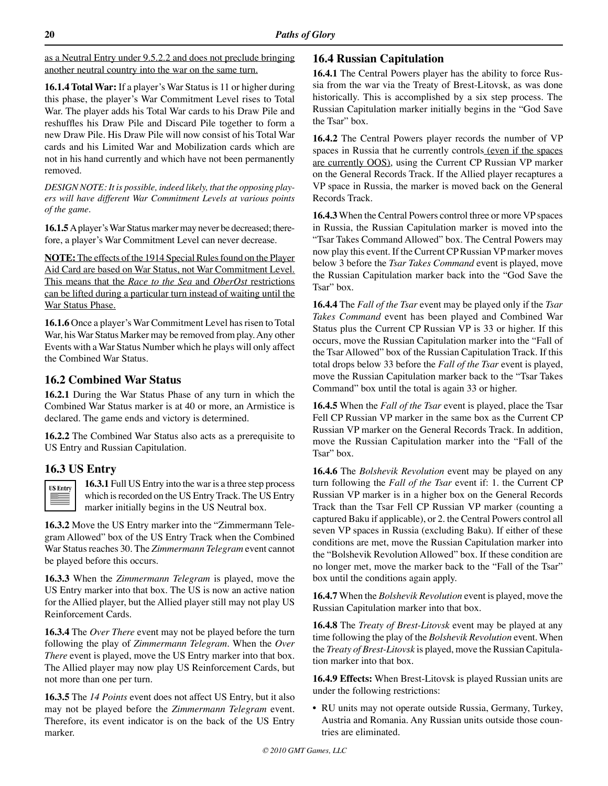as a Neutral Entry under 9.5.2.2 and does not preclude bringing another neutral country into the war on the same turn.

**16.1.4 Total War:** If a player's War Status is 11 or higher during this phase, the player's War Commitment Level rises to Total War. The player adds his Total War cards to his Draw Pile and reshuffles his Draw Pile and Discard Pile together to form a new Draw Pile. His Draw Pile will now consist of his Total War cards and his Limited War and Mobilization cards which are not in his hand currently and which have not been permanently removed.

*DESIGN NOTE: It is possible, indeed likely, that the opposing players will have different War Commitment Levels at various points of the game.* 

**16.1.5** A player's War Status marker may never be decreased; therefore, a player's War Commitment Level can never decrease.

**NOTE:** The effects of the 1914 Special Rules found on the Player Aid Card are based on War Status, not War Commitment Level. This means that the *Race to the Sea* and *OberOst* restrictions can be lifted during a particular turn instead of waiting until the War Status Phase.

**16.1.6** Once a player's War Commitment Level has risen to Total War, his War Status Marker may be removed from play. Any other Events with a War Status Number which he plays will only affect the Combined War Status.

# **16.2 Combined War Status**

**16.2.1** During the War Status Phase of any turn in which the Combined War Status marker is at 40 or more, an Armistice is declared. The game ends and victory is determined.

**16.2.2** The Combined War Status also acts as a prerequisite to US Entry and Russian Capitulation.

# **16.3 US Entry**



**16.3.1** Full US Entry into the war is a three step process which is recorded on the US Entry Track. The US Entry marker initially begins in the US Neutral box.

**16.3.2** Move the US Entry marker into the "Zimmermann Telegram Allowed" box of the US Entry Track when the Combined War Status reaches 30. The *Zimmermann Telegram* event cannot be played before this occurs.

**16.3.3** When the *Zimmermann Telegram* is played, move the US Entry marker into that box. The US is now an active nation for the Allied player, but the Allied player still may not play US Reinforcement Cards.

**16.3.4** The *Over There* event may not be played before the turn following the play of *Zimmermann Telegram.* When the *Over There* event is played, move the US Entry marker into that box. The Allied player may now play US Reinforcement Cards, but not more than one per turn.

**16.3.5** The *14 Points* event does not affect US Entry, but it also may not be played before the *Zimmermann Telegram* event. Therefore, its event indicator is on the back of the US Entry marker.

# **16.4 Russian Capitulation**

**16.4.1** The Central Powers player has the ability to force Russia from the war via the Treaty of Brest-Litovsk, as was done historically. This is accomplished by a six step process. The Russian Capitulation marker initially begins in the "God Save the Tsar" box.

**16.4.2** The Central Powers player records the number of VP spaces in Russia that he currently controls (even if the spaces are currently OOS), using the Current CP Russian VP marker on the General Records Track. If the Allied player recaptures a VP space in Russia, the marker is moved back on the General Records Track.

**16.4.3** When the Central Powers control three or more VP spaces in Russia, the Russian Capitulation marker is moved into the "Tsar Takes Command Allowed" box. The Central Powers may now play this event. If the Current CP Russian VP marker moves below 3 before the *Tsar Takes Command* event is played, move the Russian Capitulation marker back into the "God Save the Tsar" box.

**16.4.4** The *Fall of the Tsar* event may be played only if the *Tsar Takes Command* event has been played and Combined War Status plus the Current CP Russian VP is 33 or higher. If this occurs, move the Russian Capitulation marker into the "Fall of the Tsar Allowed" box of the Russian Capitulation Track. If this total drops below 33 before the *Fall of the Tsar* event is played, move the Russian Capitulation marker back to the "Tsar Takes Command" box until the total is again 33 or higher.

**16.4.5** When the *Fall of the Tsar* event is played, place the Tsar Fell CP Russian VP marker in the same box as the Current CP Russian VP marker on the General Records Track. In addition, move the Russian Capitulation marker into the "Fall of the Tsar" box.

**16.4.6** The *Bolshevik Revolution* event may be played on any turn following the *Fall of the Tsar* event if: 1. the Current CP Russian VP marker is in a higher box on the General Records Track than the Tsar Fell CP Russian VP marker (counting a captured Baku if applicable), or 2. the Central Powers control all seven VP spaces in Russia (excluding Baku). If either of these conditions are met, move the Russian Capitulation marker into the "Bolshevik Revolution Allowed" box. If these condition are no longer met, move the marker back to the "Fall of the Tsar" box until the conditions again apply.

**16.4.7** When the *Bolshevik Revolution* event is played, move the Russian Capitulation marker into that box.

**16.4.8** The *Treaty of Brest-Litovsk* event may be played at any time following the play of the *Bolshevik Revolution* event. When the *Treaty of Brest-Litovsk* is played, move the Russian Capitulation marker into that box.

**16.4.9 Effects:** When Brest-Litovsk is played Russian units are under the following restrictions:

• RU units may not operate outside Russia, Germany, Turkey, Austria and Romania. Any Russian units outside those countries are eliminated.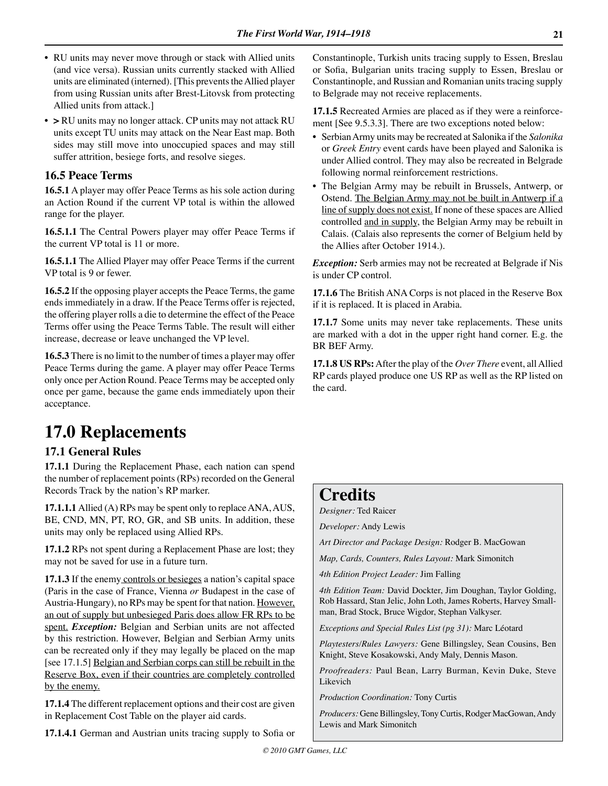- RU units may never move through or stack with Allied units (and vice versa). Russian units currently stacked with Allied units are eliminated (interned). [This prevents the Allied player from using Russian units after Brest-Litovsk from protecting Allied units from attack.]
- > RU units may no longer attack. CP units may not attack RU units except TU units may attack on the Near East map. Both sides may still move into unoccupied spaces and may still suffer attrition, besiege forts, and resolve sieges.

## **16.5 Peace Terms**

**16.5.1** A player may offer Peace Terms as his sole action during an Action Round if the current VP total is within the allowed range for the player.

**16.5.1.1** The Central Powers player may offer Peace Terms if the current VP total is 11 or more.

**16.5.1.1** The Allied Player may offer Peace Terms if the current VP total is 9 or fewer.

**16.5.2** If the opposing player accepts the Peace Terms, the game ends immediately in a draw. If the Peace Terms offer is rejected, the offering player rolls a die to determine the effect of the Peace Terms offer using the Peace Terms Table. The result will either increase, decrease or leave unchanged the VP level.

**16.5.3** There is no limit to the number of times a player may offer Peace Terms during the game. A player may offer Peace Terms only once per Action Round. Peace Terms may be accepted only once per game, because the game ends immediately upon their acceptance.

# **17.0 Replacements**

## **17.1 General Rules**

**17.1.1** During the Replacement Phase, each nation can spend the number of replacement points (RPs) recorded on the General Records Track by the nation's RP marker.

**17.1.1.1** Allied (A) RPs may be spent only to replace ANA, AUS, BE, CND, MN, PT, RO, GR, and SB units. In addition, these units may only be replaced using Allied RPs.

**17.1.2** RPs not spent during a Replacement Phase are lost; they may not be saved for use in a future turn.

**17.1.3** If the enemy controls or besieges a nation's capital space (Paris in the case of France, Vienna *or* Budapest in the case of Austria-Hungary), no RPs may be spent for that nation. However, an out of supply but unbesieged Paris does allow FR RPs to be spent. *Exception:* Belgian and Serbian units are not affected by this restriction. However, Belgian and Serbian Army units can be recreated only if they may legally be placed on the map [see 17.1.5] Belgian and Serbian corps can still be rebuilt in the Reserve Box, even if their countries are completely controlled by the enemy.

**17.1.4** The different replacement options and their cost are given in Replacement Cost Table on the player aid cards.

**17.1.4.1** German and Austrian units tracing supply to Sofia or

Constantinople, Turkish units tracing supply to Essen, Breslau or Sofia, Bulgarian units tracing supply to Essen, Breslau or Constantinople, and Russian and Romanian units tracing supply to Belgrade may not receive replacements.

**17.1.5** Recreated Armies are placed as if they were a reinforcement [See 9.5.3.3]. There are two exceptions noted below:

- Serbian Army units may be recreated at Salonika if the *Salonika*  or *Greek Entry* event cards have been played and Salonika is under Allied control. They may also be recreated in Belgrade following normal reinforcement restrictions.
- The Belgian Army may be rebuilt in Brussels, Antwerp, or Ostend. The Belgian Army may not be built in Antwerp if a line of supply does not exist. If none of these spaces are Allied controlled and in supply, the Belgian Army may be rebuilt in Calais. (Calais also represents the corner of Belgium held by the Allies after October 1914.).

*Exception:* Serb armies may not be recreated at Belgrade if Nis is under CP control.

**17.1.6** The British ANA Corps is not placed in the Reserve Box if it is replaced. It is placed in Arabia.

**17.1.7** Some units may never take replacements. These units are marked with a dot in the upper right hand corner. E.g. the BR BEF Army.

**17.1.8 US RPs:** After the play of the *Over There* event, all Allied RP cards played produce one US RP as well as the RP listed on the card.

# **Credits**

*Designer:* Ted Raicer

*Developer:* Andy Lewis

*Art Director and Package Design:* Rodger B. MacGowan

*Map, Cards, Counters, Rules Layout:* Mark Simonitch

*4th Edition Project Leader:* Jim Falling

*4th Edition Team:* David Dockter, Jim Doughan, Taylor Golding, Rob Hassard, Stan Jelic, John Loth, James Roberts, Harvey Smallman, Brad Stock, Bruce Wigdor, Stephan Valkyser.

*Exceptions and Special Rules List (pg 31):* Marc Léotard

*Playtesters/Rules Lawyers:* Gene Billingsley, Sean Cousins, Ben Knight, Steve Kosakowski, Andy Maly, Dennis Mason.

*Proofreaders:* Paul Bean, Larry Burman, Kevin Duke, Steve Likevich

*Production Coordination:* Tony Curtis

*Producers:* Gene Billingsley, Tony Curtis, Rodger MacGowan, Andy Lewis and Mark Simonitch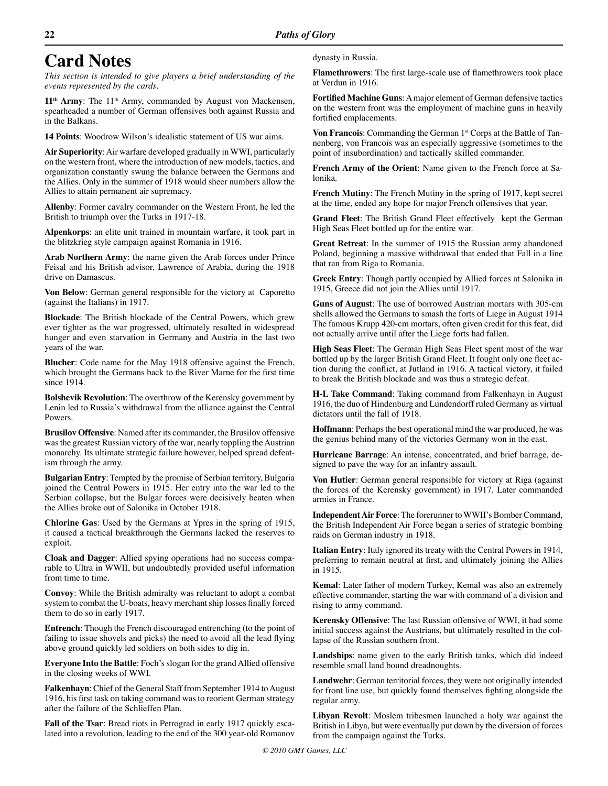# **Card Notes**

*This section is intended to give players a brief understanding of the events represented by the cards.*

11<sup>th</sup> Army: The 11<sup>th</sup> Army, commanded by August von Mackensen, spearheaded a number of German offensives both against Russia and in the Balkans.

**14 Points**: Woodrow Wilson's idealistic statement of US war aims.

**Air Superiority**: Air warfare developed gradually in WWI, particularly on the western front, where the introduction of new models, tactics, and organization constantly swung the balance between the Germans and the Allies. Only in the summer of 1918 would sheer numbers allow the Allies to attain permanent air supremacy.

**Allenby**: Former cavalry commander on the Western Front, he led the British to triumph over the Turks in 1917-18.

**Alpenkorps**: an elite unit trained in mountain warfare, it took part in the blitzkrieg style campaign against Romania in 1916.

**Arab Northern Army**: the name given the Arab forces under Prince Feisal and his British advisor, Lawrence of Arabia, during the 1918 drive on Damascus.

**Von Below**: German general responsible for the victory at Caporetto (against the Italians) in 1917.

**Blockade**: The British blockade of the Central Powers, which grew ever tighter as the war progressed, ultimately resulted in widespread hunger and even starvation in Germany and Austria in the last two years of the war.

**Blucher**: Code name for the May 1918 offensive against the French, which brought the Germans back to the River Marne for the first time since 1914.

**Bolshevik Revolution**: The overthrow of the Kerensky government by Lenin led to Russia's withdrawal from the alliance against the Central Powers.

**Brusilov Offensive**: Named after its commander, the Brusilov offensive was the greatest Russian victory of the war, nearly toppling the Austrian monarchy. Its ultimate strategic failure however, helped spread defeatism through the army.

**Bulgarian Entry**: Tempted by the promise of Serbian territory, Bulgaria joined the Central Powers in 1915. Her entry into the war led to the Serbian collapse, but the Bulgar forces were decisively beaten when the Allies broke out of Salonika in October 1918.

**Chlorine Gas**: Used by the Germans at Ypres in the spring of 1915, it caused a tactical breakthrough the Germans lacked the reserves to exploit.

**Cloak and Dagger**: Allied spying operations had no success comparable to Ultra in WWII, but undoubtedly provided useful information from time to time.

**Convoy**: While the British admiralty was reluctant to adopt a combat system to combat the U-boats, heavy merchant ship losses finally forced them to do so in early 1917.

**Entrench**: Though the French discouraged entrenching (to the point of failing to issue shovels and picks) the need to avoid all the lead flying above ground quickly led soldiers on both sides to dig in.

**Everyone Into the Battle**: Foch's slogan for the grand Allied offensive in the closing weeks of WWI.

**Falkenhayn**: Chief of the General Staff from September 1914 to August 1916, his first task on taking command was to reorient German strategy after the failure of the Schlieffen Plan.

**Fall of the Tsar**: Bread riots in Petrograd in early 1917 quickly escalated into a revolution, leading to the end of the 300 year-old Romanov dynasty in Russia.

**Flamethrowers**: The first large-scale use of flamethrowers took place at Verdun in 1916.

**Fortified Machine Guns**: A major element of German defensive tactics on the western front was the employment of machine guns in heavily fortified emplacements.

**Von Francois:** Commanding the German 1<sup>st</sup> Corps at the Battle of Tannenberg, von Francois was an especially aggressive (sometimes to the point of insubordination) and tactically skilled commander.

**French Army of the Orient**: Name given to the French force at Salonika.

**French Mutiny**: The French Mutiny in the spring of 1917, kept secret at the time, ended any hope for major French offensives that year.

**Grand Fleet**: The British Grand Fleet effectively kept the German High Seas Fleet bottled up for the entire war.

**Great Retreat**: In the summer of 1915 the Russian army abandoned Poland, beginning a massive withdrawal that ended that Fall in a line that ran from Riga to Romania.

**Greek Entry**: Though partly occupied by Allied forces at Salonika in 1915, Greece did not join the Allies until 1917.

**Guns of August**: The use of borrowed Austrian mortars with 305-cm shells allowed the Germans to smash the forts of Liege in August 1914 The famous Krupp 420-cm mortars, often given credit for this feat, did not actually arrive until after the Liege forts had fallen.

**High Seas Fleet**: The German High Seas Fleet spent most of the war bottled up by the larger British Grand Fleet. It fought only one fleet action during the conflict, at Jutland in 1916. A tactical victory, it failed to break the British blockade and was thus a strategic defeat.

**H-L Take Command**: Taking command from Falkenhayn in August 1916, the duo of Hindenburg and Lundendorff ruled Germany as virtual dictators until the fall of 1918.

**Hoffmann**: Perhaps the best operational mind the war produced, he was the genius behind many of the victories Germany won in the east.

**Hurricane Barrage**: An intense, concentrated, and brief barrage, designed to pave the way for an infantry assault.

**Von Hutier**: German general responsible for victory at Riga (against the forces of the Kerensky government) in 1917. Later commanded armies in France.

**Independent Air Force**: The forerunner to WWII's Bomber Command, the British Independent Air Force began a series of strategic bombing raids on German industry in 1918.

**Italian Entry**: Italy ignored its treaty with the Central Powers in 1914, preferring to remain neutral at first, and ultimately joining the Allies in 1915.

**Kemal**: Later father of modern Turkey, Kemal was also an extremely effective commander, starting the war with command of a division and rising to army command.

**Kerensky Offensive**: The last Russian offensive of WWI, it had some initial success against the Austrians, but ultimately resulted in the collapse of the Russian southern front.

**Landships**: name given to the early British tanks, which did indeed resemble small land bound dreadnoughts.

**Landwehr**: German territorial forces, they were not originally intended for front line use, but quickly found themselves fighting alongside the regular army.

**Libyan Revolt**: Moslem tribesmen launched a holy war against the British in Libya, but were eventually put down by the diversion of forces from the campaign against the Turks.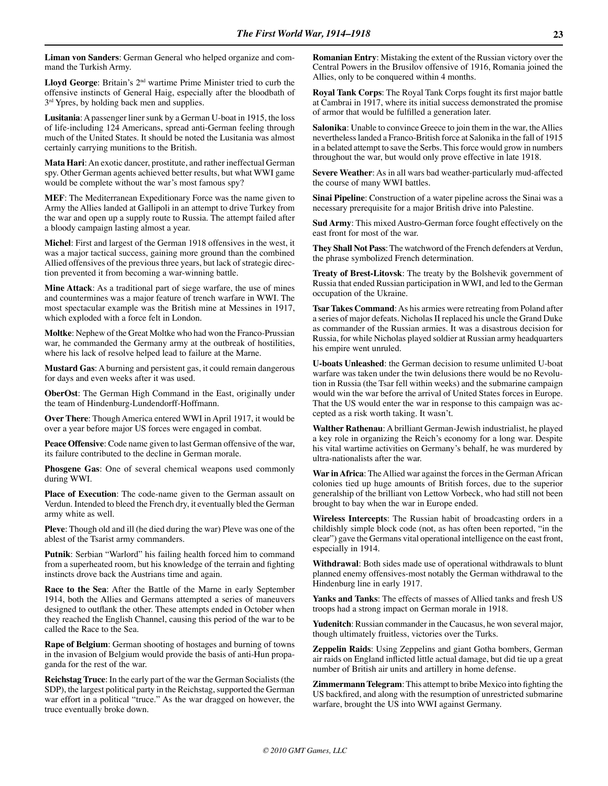**Liman von Sanders**: German General who helped organize and command the Turkish Army.

**Lloyd George**: Britain's 2nd wartime Prime Minister tried to curb the offensive instincts of General Haig, especially after the bloodbath of  $3<sup>rd</sup>$  Ypres, by holding back men and supplies.

**Lusitania**: A passenger liner sunk by a German U-boat in 1915, the loss of life-including 124 Americans, spread anti-German feeling through much of the United States. It should be noted the Lusitania was almost certainly carrying munitions to the British.

**Mata Hari**: An exotic dancer, prostitute, and rather ineffectual German spy. Other German agents achieved better results, but what WWI game would be complete without the war's most famous spy?

**MEF**: The Mediterranean Expeditionary Force was the name given to Army the Allies landed at Gallipoli in an attempt to drive Turkey from the war and open up a supply route to Russia. The attempt failed after a bloody campaign lasting almost a year.

**Michel**: First and largest of the German 1918 offensives in the west, it was a major tactical success, gaining more ground than the combined Allied offensives of the previous three years, but lack of strategic direction prevented it from becoming a war-winning battle.

**Mine Attack**: As a traditional part of siege warfare, the use of mines and countermines was a major feature of trench warfare in WWI. The most spectacular example was the British mine at Messines in 1917, which exploded with a force felt in London.

**Moltke**: Nephew of the Great Moltke who had won the Franco-Prussian war, he commanded the Germany army at the outbreak of hostilities, where his lack of resolve helped lead to failure at the Marne.

**Mustard Gas**: A burning and persistent gas, it could remain dangerous for days and even weeks after it was used.

**OberOst**: The German High Command in the East, originally under the team of Hindenburg-Lundendorff-Hoffmann.

**Over There**: Though America entered WWI in April 1917, it would be over a year before major US forces were engaged in combat.

**Peace Offensive**: Code name given to last German offensive of the war, its failure contributed to the decline in German morale.

**Phosgene Gas**: One of several chemical weapons used commonly during WWI.

**Place of Execution**: The code-name given to the German assault on Verdun. Intended to bleed the French dry, it eventually bled the German army white as well.

**Pleve**: Though old and ill (he died during the war) Pleve was one of the ablest of the Tsarist army commanders.

**Putnik**: Serbian "Warlord" his failing health forced him to command from a superheated room, but his knowledge of the terrain and fighting instincts drove back the Austrians time and again.

**Race to the Sea**: After the Battle of the Marne in early September 1914, both the Allies and Germans attempted a series of maneuvers designed to outflank the other. These attempts ended in October when they reached the English Channel, causing this period of the war to be called the Race to the Sea.

**Rape of Belgium**: German shooting of hostages and burning of towns in the invasion of Belgium would provide the basis of anti-Hun propaganda for the rest of the war.

**Reichstag Truce**: In the early part of the war the German Socialists (the SDP), the largest political party in the Reichstag, supported the German war effort in a political "truce." As the war dragged on however, the truce eventually broke down.

**Romanian Entry**: Mistaking the extent of the Russian victory over the Central Powers in the Brusilov offensive of 1916, Romania joined the Allies, only to be conquered within 4 months.

**Royal Tank Corps**: The Royal Tank Corps fought its first major battle at Cambrai in 1917, where its initial success demonstrated the promise of armor that would be fulfilled a generation later.

**Salonika**: Unable to convince Greece to join them in the war, the Allies nevertheless landed a Franco-British force at Salonika in the fall of 1915 in a belated attempt to save the Serbs. This force would grow in numbers throughout the war, but would only prove effective in late 1918.

**Severe Weather**: As in all wars bad weather-particularly mud-affected the course of many WWI battles.

**Sinai Pipeline**: Construction of a water pipeline across the Sinai was a necessary prerequisite for a major British drive into Palestine.

**Sud Army**: This mixed Austro-German force fought effectively on the east front for most of the war.

**They Shall Not Pass**: The watchword of the French defenders at Verdun, the phrase symbolized French determination.

**Treaty of Brest-Litovsk**: The treaty by the Bolshevik government of Russia that ended Russian participation in WWI, and led to the German occupation of the Ukraine.

**Tsar Takes Command**: As his armies were retreating from Poland after a series of major defeats. Nicholas II replaced his uncle the Grand Duke as commander of the Russian armies. It was a disastrous decision for Russia, for while Nicholas played soldier at Russian army headquarters his empire went unruled.

**U-boats Unleashed**: the German decision to resume unlimited U-boat warfare was taken under the twin delusions there would be no Revolution in Russia (the Tsar fell within weeks) and the submarine campaign would win the war before the arrival of United States forces in Europe. That the US would enter the war in response to this campaign was accepted as a risk worth taking. It wasn't.

**Walther Rathenau**: A brilliant German-Jewish industrialist, he played a key role in organizing the Reich's economy for a long war. Despite his vital wartime activities on Germany's behalf, he was murdered by ultra-nationalists after the war.

**War in Africa**: The Allied war against the forces in the German African colonies tied up huge amounts of British forces, due to the superior generalship of the brilliant von Lettow Vorbeck, who had still not been brought to bay when the war in Europe ended.

**Wireless Intercepts**: The Russian habit of broadcasting orders in a childishly simple block code (not, as has often been reported, "in the clear") gave the Germans vital operational intelligence on the east front, especially in 1914.

**Withdrawal**: Both sides made use of operational withdrawals to blunt planned enemy offensives-most notably the German withdrawal to the Hindenburg line in early 1917.

**Yanks and Tanks**: The effects of masses of Allied tanks and fresh US troops had a strong impact on German morale in 1918.

**Yudenitch**: Russian commander in the Caucasus, he won several major, though ultimately fruitless, victories over the Turks.

**Zeppelin Raids**: Using Zeppelins and giant Gotha bombers, German air raids on England inflicted little actual damage, but did tie up a great number of British air units and artillery in home defense.

**Zimmermann Telegram**: This attempt to bribe Mexico into fighting the US backfired, and along with the resumption of unrestricted submarine warfare, brought the US into WWI against Germany.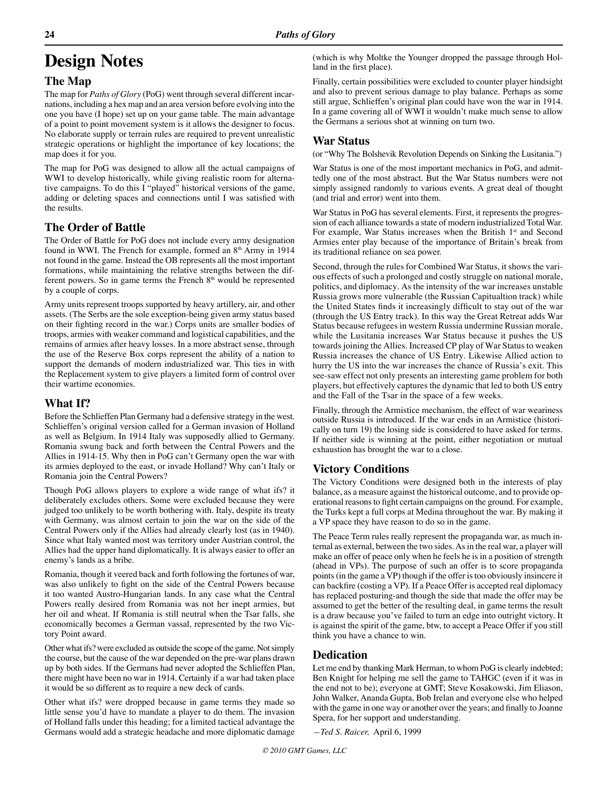# **Design Notes**

# **The Map**

The map for *Paths of Glory* (PoG) went through several different incarnations, including a hex map and an area version before evolving into the one you have (I hope) set up on your game table. The main advantage of a point to point movement system is it allows the designer to focus. No elaborate supply or terrain rules are required to prevent unrealistic strategic operations or highlight the importance of key locations; the map does it for you.

The map for PoG was designed to allow all the actual campaigns of WWI to develop historically, while giving realistic room for alternative campaigns. To do this I "played" historical versions of the game, adding or deleting spaces and connections until I was satisfied with the results.

# **The Order of Battle**

The Order of Battle for PoG does not include every army designation found in WWI. The French for example, formed an 8<sup>th</sup> Army in 1914 not found in the game. Instead the OB represents all the most important formations, while maintaining the relative strengths between the different powers. So in game terms the French 8<sup>th</sup> would be represented by a couple of corps.

Army units represent troops supported by heavy artillery, air, and other assets. (The Serbs are the sole exception-being given army status based on their fighting record in the war.) Corps units are smaller bodies of troops, armies with weaker command and logistical capabilities, and the remains of armies after heavy losses. In a more abstract sense, through the use of the Reserve Box corps represent the ability of a nation to support the demands of modern industrialized war. This ties in with the Replacement system to give players a limited form of control over their wartime economies.

# **What If?**

Before the Schlieffen Plan Germany had a defensive strategy in the west. Schlieffen's original version called for a German invasion of Holland as well as Belgium. In 1914 Italy was supposedly allied to Germany. Romania swung back and forth between the Central Powers and the Allies in 1914-15. Why then in PoG can't Germany open the war with its armies deployed to the east, or invade Holland? Why can't Italy or Romania join the Central Powers?

Though PoG allows players to explore a wide range of what ifs? it deliberately excludes others. Some were excluded because they were judged too unlikely to be worth bothering with. Italy, despite its treaty with Germany, was almost certain to join the war on the side of the Central Powers only if the Allies had already clearly lost (as in 1940). Since what Italy wanted most was territory under Austrian control, the Allies had the upper hand diplomatically. It is always easier to offer an enemy's lands as a bribe.

Romania, though it veered back and forth following the fortunes of war, was also unlikely to fight on the side of the Central Powers because it too wanted Austro-Hungarian lands. In any case what the Central Powers really desired from Romania was not her inept armies, but her oil and wheat. If Romania is still neutral when the Tsar falls, she economically becomes a German vassal, represented by the two Victory Point award.

Other what ifs? were excluded as outside the scope of the game. Not simply the course, but the cause of the war depended on the pre-war plans drawn up by both sides. If the Germans had never adopted the Schlieffen Plan, there might have been no war in 1914. Certainly if a war had taken place it would be so different as to require a new deck of cards.

Other what ifs? were dropped because in game terms they made so little sense you'd have to mandate a player to do them. The invasion of Holland falls under this heading; for a limited tactical advantage the Germans would add a strategic headache and more diplomatic damage (which is why Moltke the Younger dropped the passage through Holland in the first place).

Finally, certain possibilities were excluded to counter player hindsight and also to prevent serious damage to play balance. Perhaps as some still argue, Schlieffen's original plan could have won the war in 1914. In a game covering all of WWI it wouldn't make much sense to allow the Germans a serious shot at winning on turn two.

# **War Status**

(or "Why The Bolshevik Revolution Depends on Sinking the Lusitania.")

War Status is one of the most important mechanics in PoG, and admittedly one of the most abstract. But the War Status numbers were not simply assigned randomly to various events. A great deal of thought (and trial and error) went into them.

War Status in PoG has several elements. First, it represents the progression of each alliance towards a state of modern industrialized Total War. For example, War Status increases when the British 1<sup>st</sup> and Second Armies enter play because of the importance of Britain's break from its traditional reliance on sea power.

Second, through the rules for Combined War Status, it shows the various effects of such a prolonged and costly struggle on national morale, politics, and diplomacy. As the intensity of the war increases unstable Russia grows more vulnerable (the Russian Capitualtion track) while the United States finds it increasingly difficult to stay out of the war (through the US Entry track). In this way the Great Retreat adds War Status because refugees in western Russia undermine Russian morale, while the Lusitania increases War Status because it pushes the US towards joining the Allies. Increased CP play of War Status to weaken Russia increases the chance of US Entry. Likewise Allied action to hurry the US into the war increases the chance of Russia's exit. This see-saw effect not only presents an interesting game problem for both players, but effectively captures the dynamic that led to both US entry and the Fall of the Tsar in the space of a few weeks.

Finally, through the Armistice mechanism, the effect of war weariness outside Russia is introduced. If the war ends in an Armistice (historically on turn 19) the losing side is considered to have asked for terms. If neither side is winning at the point, either negotiation or mutual exhaustion has brought the war to a close.

# **Victory Conditions**

The Victory Conditions were designed both in the interests of play balance, as a measure against the historical outcome, and to provide operational reasons to fight certain campaigns on the ground. For example, the Turks kept a full corps at Medina throughout the war. By making it a VP space they have reason to do so in the game.

The Peace Term rules really represent the propaganda war, as much internal as external, between the two sides. As in the real war, a player will make an offer of peace only when he feels he is in a position of strength (ahead in VPs). The purpose of such an offer is to score propaganda points (in the game a VP) though if the offer is too obviously insincere it can backfire (costing a VP). If a Peace Offer is accepted real diplomacy has replaced posturing-and though the side that made the offer may be assumed to get the better of the resulting deal, in game terms the result is a draw because you've failed to turn an edge into outright victory. It is against the spirit of the game, btw, to accept a Peace Offer if you still think you have a chance to win.

# **Dedication**

Let me end by thanking Mark Herman, to whom PoG is clearly indebted; Ben Knight for helping me sell the game to TAHGC (even if it was in the end not to be); everyone at GMT; Steve Kosakowski, Jim Eliason, John Walker, Ananda Gupta, Bob Irelan and everyone else who helped with the game in one way or another over the years; and finally to Joanne Spera, for her support and understanding.

*—Ted S. Raicer,* April 6, 1999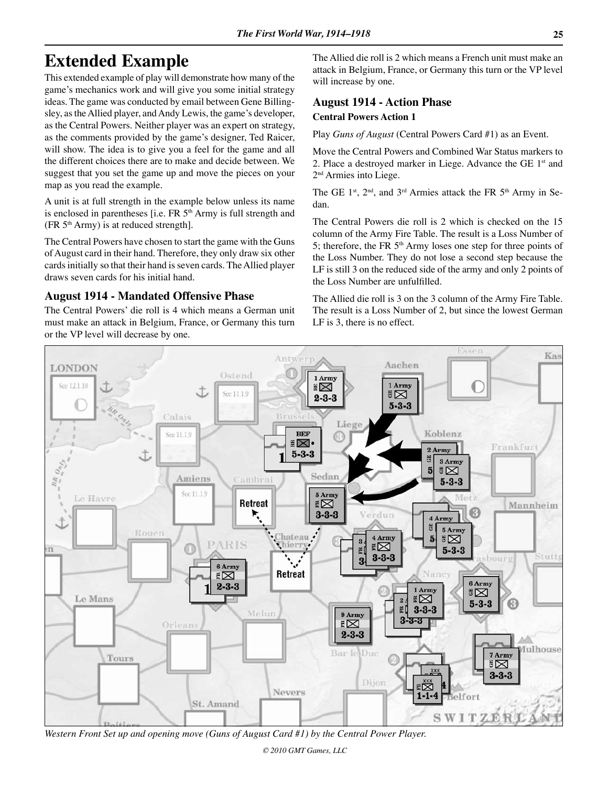# **Extended Example**

This extended example of play will demonstrate how many of the game's mechanics work and will give you some initial strategy ideas. The game was conducted by email between Gene Billingsley, as the Allied player, and Andy Lewis, the game's developer, as the Central Powers. Neither player was an expert on strategy, as the comments provided by the game's designer, Ted Raicer, will show. The idea is to give you a feel for the game and all the different choices there are to make and decide between. We suggest that you set the game up and move the pieces on your map as you read the example.

A unit is at full strength in the example below unless its name is enclosed in parentheses [i.e.  $FR 5<sup>th</sup> Army is full strength and$  $(FR 5<sup>th</sup> Army)$  is at reduced strength].

The Central Powers have chosen to start the game with the Guns of August card in their hand. Therefore, they only draw six other cards initially so that their hand is seven cards. The Allied player draws seven cards for his initial hand.

## **August 1914 - Mandated Offensive Phase**

The Central Powers' die roll is 4 which means a German unit must make an attack in Belgium, France, or Germany this turn or the VP level will decrease by one.

The Allied die roll is 2 which means a French unit must make an attack in Belgium, France, or Germany this turn or the VP level will increase by one.

# **August 1914 - Action Phase Central Powers Action 1**

Play *Guns of August* (Central Powers Card #1) as an Event.

Move the Central Powers and Combined War Status markers to 2. Place a destroyed marker in Liege. Advance the GE  $1<sup>st</sup>$  and 2nd Armies into Liege.

The GE 1<sup>st</sup>,  $2<sup>nd</sup>$ , and  $3<sup>rd</sup>$  Armies attack the FR 5<sup>th</sup> Army in Sedan.

The Central Powers die roll is 2 which is checked on the 15 column of the Army Fire Table. The result is a Loss Number of 5; therefore, the FR 5<sup>th</sup> Army loses one step for three points of the Loss Number. They do not lose a second step because the LF is still 3 on the reduced side of the army and only 2 points of the Loss Number are unfulfilled.

The Allied die roll is 3 on the 3 column of the Army Fire Table. The result is a Loss Number of 2, but since the lowest German LF is 3, there is no effect.



*Western Front Set up and opening move (Guns of August Card #1) by the Central Power Player.*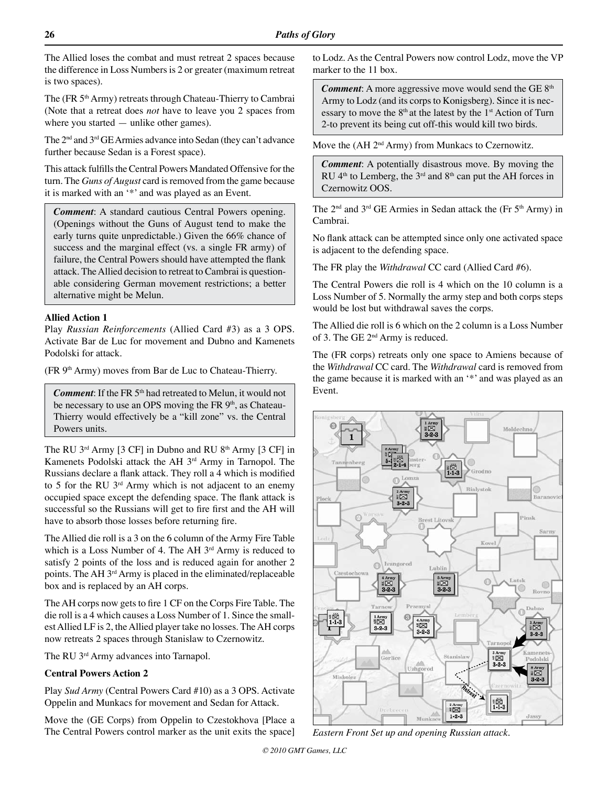The Allied loses the combat and must retreat 2 spaces because the difference in Loss Numbers is 2 or greater (maximum retreat is two spaces).

The (FR 5<sup>th</sup> Army) retreats through Chateau-Thierry to Cambrai (Note that a retreat does *not* have to leave you 2 spaces from where you started — unlike other games).

The 2nd and 3rd GE Armies advance into Sedan (they can't advance further because Sedan is a Forest space).

This attack fulfills the Central Powers Mandated Offensive for the turn. The *Guns of August* card is removed from the game because it is marked with an '\*' and was played as an Event.

*Comment*: A standard cautious Central Powers opening. (Openings without the Guns of August tend to make the early turns quite unpredictable.) Given the 66% chance of success and the marginal effect (vs. a single FR army) of failure, the Central Powers should have attempted the flank attack. The Allied decision to retreat to Cambrai is questionable considering German movement restrictions; a better alternative might be Melun.

#### **Allied Action 1**

Play *Russian Reinforcements* (Allied Card #3) as a 3 OPS. Activate Bar de Luc for movement and Dubno and Kamenets Podolski for attack.

(FR 9<sup>th</sup> Army) moves from Bar de Luc to Chateau-Thierry.

*Comment*: If the FR 5<sup>th</sup> had retreated to Melun, it would not be necessary to use an OPS moving the FR 9<sup>th</sup>, as Chateau-Thierry would effectively be a "kill zone" vs. the Central Powers units.

The RU  $3^{\text{rd}}$  Army [3 CF] in Dubno and RU  $8^{\text{th}}$  Army [3 CF] in Kamenets Podolski attack the AH 3rd Army in Tarnopol. The Russians declare a flank attack. They roll a 4 which is modified to 5 for the RU  $3<sup>rd</sup>$  Army which is not adjacent to an enemy occupied space except the defending space. The flank attack is successful so the Russians will get to fire first and the AH will have to absorb those losses before returning fire.

The Allied die roll is a 3 on the 6 column of the Army Fire Table which is a Loss Number of 4. The AH 3<sup>rd</sup> Army is reduced to satisfy 2 points of the loss and is reduced again for another 2 points. The AH 3rd Army is placed in the eliminated/replaceable box and is replaced by an AH corps.

The AH corps now gets to fire 1 CF on the Corps Fire Table. The die roll is a 4 which causes a Loss Number of 1. Since the smallest Allied LF is 2, the Allied player take no losses. The AH corps now retreats 2 spaces through Stanislaw to Czernowitz.

The RU 3<sup>rd</sup> Army advances into Tarnapol.

#### **Central Powers Action 2**

Play *Sud Army* (Central Powers Card #10) as a 3 OPS. Activate Oppelin and Munkacs for movement and Sedan for Attack.

Move the (GE Corps) from Oppelin to Czestokhova [Place a The Central Powers control marker as the unit exits the space]

to Lodz. As the Central Powers now control Lodz, move the VP marker to the 11 box.

**Comment:** A more aggressive move would send the GE 8<sup>th</sup> Army to Lodz (and its corps to Konigsberg). Since it is necessary to move the  $8<sup>th</sup>$  at the latest by the  $1<sup>st</sup>$  Action of Turn 2-to prevent its being cut off-this would kill two birds.

Move the (AH 2<sup>nd</sup> Army) from Munkacs to Czernowitz.

*Comment*: A potentially disastrous move. By moving the RU  $4<sup>th</sup>$  to Lemberg, the  $3<sup>rd</sup>$  and  $8<sup>th</sup>$  can put the AH forces in Czernowitz OOS.

The 2nd and 3rd GE Armies in Sedan attack the (Fr 5th Army) in Cambrai.

No flank attack can be attempted since only one activated space is adjacent to the defending space.

The FR play the *Withdrawal* CC card (Allied Card #6).

The Central Powers die roll is 4 which on the 10 column is a Loss Number of 5. Normally the army step and both corps steps would be lost but withdrawal saves the corps.

The Allied die roll is 6 which on the 2 column is a Loss Number of 3. The GE 2nd Army is reduced.

The (FR corps) retreats only one space to Amiens because of the *Withdrawal* CC card. The *Withdrawal* card is removed from the game because it is marked with an '\*' and was played as an Event.



*Eastern Front Set up and opening Russian attack.*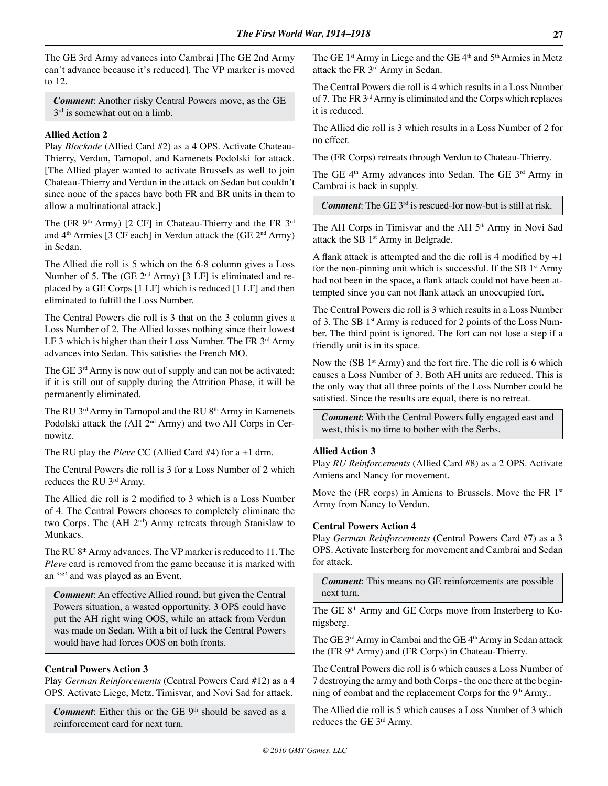The GE 3rd Army advances into Cambrai [The GE 2nd Army can't advance because it's reduced]. The VP marker is moved to 12.

*Comment*: Another risky Central Powers move, as the GE  $3<sup>rd</sup>$  is somewhat out on a limb.

#### **Allied Action 2**

Play *Blockade* (Allied Card #2) as a 4 OPS. Activate Chateau-Thierry, Verdun, Tarnopol, and Kamenets Podolski for attack. [The Allied player wanted to activate Brussels as well to join Chateau-Thierry and Verdun in the attack on Sedan but couldn't since none of the spaces have both FR and BR units in them to allow a multinational attack.]

The (FR  $9<sup>th</sup>$  Army) [2 CF] in Chateau-Thierry and the FR  $3<sup>rd</sup>$ and  $4<sup>th</sup>$  Armies [3 CF each] in Verdun attack the (GE  $2<sup>nd</sup>$  Army) in Sedan.

The Allied die roll is 5 which on the 6-8 column gives a Loss Number of 5. The (GE 2<sup>nd</sup> Army) [3 LF] is eliminated and replaced by a GE Corps [1 LF] which is reduced [1 LF] and then eliminated to fulfill the Loss Number.

The Central Powers die roll is 3 that on the 3 column gives a Loss Number of 2. The Allied losses nothing since their lowest LF 3 which is higher than their Loss Number. The FR  $3<sup>rd</sup>$  Army advances into Sedan. This satisfies the French MO.

The GE 3<sup>rd</sup> Army is now out of supply and can not be activated; if it is still out of supply during the Attrition Phase, it will be permanently eliminated.

The RU 3<sup>rd</sup> Army in Tarnopol and the RU 8<sup>th</sup> Army in Kamenets Podolski attack the (AH 2<sup>nd</sup> Army) and two AH Corps in Cernowitz.

The RU play the *Pleve* CC (Allied Card #4) for a +1 drm.

The Central Powers die roll is 3 for a Loss Number of 2 which reduces the RU 3rd Army.

The Allied die roll is 2 modified to 3 which is a Loss Number of 4. The Central Powers chooses to completely eliminate the two Corps. The (AH 2<sup>nd</sup>) Army retreats through Stanislaw to Munkacs.

The RU 8<sup>th</sup> Army advances. The VP marker is reduced to 11. The *Pleve* card is removed from the game because it is marked with an '\*' and was played as an Event.

*Comment*: An effective Allied round, but given the Central Powers situation, a wasted opportunity. 3 OPS could have put the AH right wing OOS, while an attack from Verdun was made on Sedan. With a bit of luck the Central Powers would have had forces OOS on both fronts.

#### **Central Powers Action 3**

Play *German Reinforcements* (Central Powers Card #12) as a 4 OPS. Activate Liege, Metz, Timisvar, and Novi Sad for attack.

*Comment*: Either this or the GE  $9<sup>th</sup>$  should be saved as a reinforcement card for next turn.

The GE  $1<sup>st</sup>$  Army in Liege and the GE  $4<sup>th</sup>$  and  $5<sup>th</sup>$  Armies in Metz attack the FR 3rd Army in Sedan.

The Central Powers die roll is 4 which results in a Loss Number of 7. The FR 3rd Army is eliminated and the Corps which replaces it is reduced.

The Allied die roll is 3 which results in a Loss Number of 2 for no effect.

The (FR Corps) retreats through Verdun to Chateau-Thierry.

The GE 4<sup>th</sup> Army advances into Sedan. The GE 3<sup>rd</sup> Army in Cambrai is back in supply.

*Comment*: The GE 3rd is rescued-for now-but is still at risk.

The AH Corps in Timisvar and the AH 5<sup>th</sup> Army in Novi Sad attack the SB 1<sup>st</sup> Army in Belgrade.

A flank attack is attempted and the die roll is 4 modified by  $+1$ for the non-pinning unit which is successful. If the SB  $1<sup>st</sup>$  Army had not been in the space, a flank attack could not have been attempted since you can not flank attack an unoccupied fort.

The Central Powers die roll is 3 which results in a Loss Number of 3. The SB 1<sup>st</sup> Army is reduced for 2 points of the Loss Number. The third point is ignored. The fort can not lose a step if a friendly unit is in its space.

Now the  $(SB_1<sup>st</sup> Army)$  and the fort fire. The die roll is 6 which causes a Loss Number of 3. Both AH units are reduced. This is the only way that all three points of the Loss Number could be satisfied. Since the results are equal, there is no retreat.

*Comment*: With the Central Powers fully engaged east and west, this is no time to bother with the Serbs.

#### **Allied Action 3**

Play *RU Reinforcements* (Allied Card #8) as a 2 OPS. Activate Amiens and Nancy for movement.

Move the (FR corps) in Amiens to Brussels. Move the FR 1<sup>st</sup> Army from Nancy to Verdun.

#### **Central Powers Action 4**

Play *German Reinforcements* (Central Powers Card #7) as a 3 OPS. Activate Insterberg for movement and Cambrai and Sedan for attack.

*Comment*: This means no GE reinforcements are possible next turn.

The GE 8<sup>th</sup> Army and GE Corps move from Insterberg to Konigsberg.

The GE 3<sup>rd</sup> Army in Cambai and the GE 4<sup>th</sup> Army in Sedan attack the (FR  $9<sup>th</sup>$  Army) and (FR Corps) in Chateau-Thierry.

The Central Powers die roll is 6 which causes a Loss Number of 7 destroying the army and both Corps - the one there at the beginning of combat and the replacement Corps for the 9<sup>th</sup> Army..

The Allied die roll is 5 which causes a Loss Number of 3 which reduces the GE 3rd Army.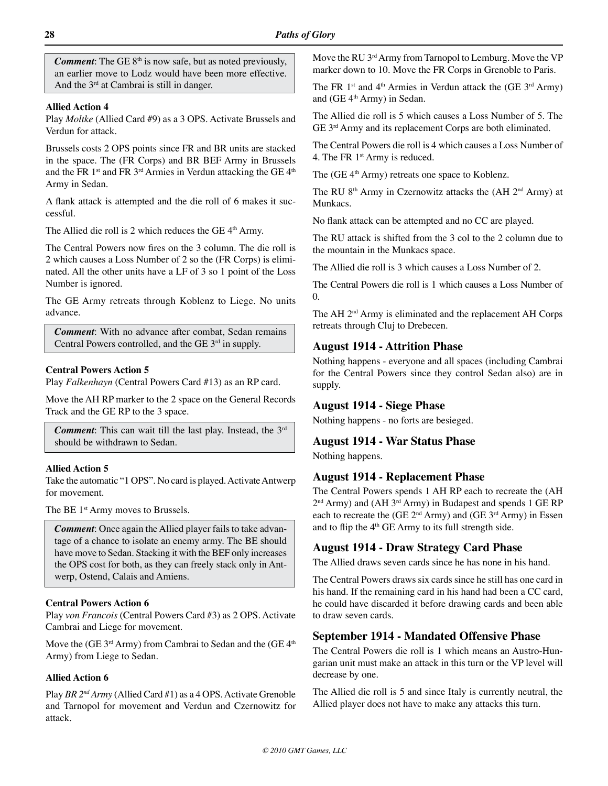*Comment*: The GE 8<sup>th</sup> is now safe, but as noted previously, an earlier move to Lodz would have been more effective. And the 3<sup>rd</sup> at Cambrai is still in danger.

#### **Allied Action 4**

Play *Moltke* (Allied Card #9) as a 3 OPS. Activate Brussels and Verdun for attack.

Brussels costs 2 OPS points since FR and BR units are stacked in the space. The (FR Corps) and BR BEF Army in Brussels and the FR  $1<sup>st</sup>$  and FR  $3<sup>rd</sup>$  Armies in Verdun attacking the GE  $4<sup>th</sup>$ Army in Sedan.

A flank attack is attempted and the die roll of 6 makes it successful.

The Allied die roll is 2 which reduces the GE  $4<sup>th</sup>$  Army.

The Central Powers now fires on the 3 column. The die roll is 2 which causes a Loss Number of 2 so the (FR Corps) is eliminated. All the other units have a LF of 3 so 1 point of the Loss Number is ignored.

The GE Army retreats through Koblenz to Liege. No units advance.

*Comment*: With no advance after combat, Sedan remains Central Powers controlled, and the GE 3<sup>rd</sup> in supply.

#### **Central Powers Action 5**

Play *Falkenhayn* (Central Powers Card #13) as an RP card.

Move the AH RP marker to the 2 space on the General Records Track and the GE RP to the 3 space.

*Comment*: This can wait till the last play. Instead, the 3rd should be withdrawn to Sedan.

#### **Allied Action 5**

Take the automatic "1 OPS". No card is played. Activate Antwerp for movement.

The BE 1<sup>st</sup> Army moves to Brussels.

*Comment*: Once again the Allied player fails to take advantage of a chance to isolate an enemy army. The BE should have move to Sedan. Stacking it with the BEF only increases the OPS cost for both, as they can freely stack only in Antwerp, Ostend, Calais and Amiens.

#### **Central Powers Action 6**

Play *von Francois* (Central Powers Card #3) as 2 OPS. Activate Cambrai and Liege for movement.

Move the (GE  $3<sup>rd</sup>$  Army) from Cambrai to Sedan and the (GE  $4<sup>th</sup>$ Army) from Liege to Sedan.

## **Allied Action 6**

Play *BR 2nd Army* (Allied Card #1) as a 4 OPS. Activate Grenoble and Tarnopol for movement and Verdun and Czernowitz for attack.

Move the RU 3<sup>rd</sup> Army from Tarnopol to Lemburg. Move the VP marker down to 10. Move the FR Corps in Grenoble to Paris.

The FR 1<sup>st</sup> and 4<sup>th</sup> Armies in Verdun attack the (GE  $3<sup>rd</sup>$  Army) and (GE 4<sup>th</sup> Army) in Sedan.

The Allied die roll is 5 which causes a Loss Number of 5. The GE 3rd Army and its replacement Corps are both eliminated.

The Central Powers die roll is 4 which causes a Loss Number of 4. The FR 1<sup>st</sup> Army is reduced.

The (GE 4<sup>th</sup> Army) retreats one space to Koblenz.

The RU 8<sup>th</sup> Army in Czernowitz attacks the  $(AH 2<sup>nd</sup> Army)$  at Munkacs.

No flank attack can be attempted and no CC are played.

The RU attack is shifted from the 3 col to the 2 column due to the mountain in the Munkacs space.

The Allied die roll is 3 which causes a Loss Number of 2.

The Central Powers die roll is 1 which causes a Loss Number of 0.

The AH 2<sup>nd</sup> Army is eliminated and the replacement AH Corps retreats through Cluj to Drebecen.

#### **August 1914 - Attrition Phase**

Nothing happens - everyone and all spaces (including Cambrai for the Central Powers since they control Sedan also) are in supply.

#### **August 1914 - Siege Phase**

Nothing happens - no forts are besieged.

## **August 1914 - War Status Phase**

Nothing happens.

#### **August 1914 - Replacement Phase**

The Central Powers spends 1 AH RP each to recreate the (AH 2<sup>nd</sup> Army) and (AH 3<sup>rd</sup> Army) in Budapest and spends 1 GE RP each to recreate the (GE  $2<sup>nd</sup>$  Army) and (GE  $3<sup>rd</sup>$  Army) in Essen and to flip the 4<sup>th</sup> GE Army to its full strength side.

#### **August 1914 - Draw Strategy Card Phase**

The Allied draws seven cards since he has none in his hand.

The Central Powers draws six cards since he still has one card in his hand. If the remaining card in his hand had been a CC card, he could have discarded it before drawing cards and been able to draw seven cards.

#### **September 1914 - Mandated Offensive Phase**

The Central Powers die roll is 1 which means an Austro-Hungarian unit must make an attack in this turn or the VP level will decrease by one.

The Allied die roll is 5 and since Italy is currently neutral, the Allied player does not have to make any attacks this turn.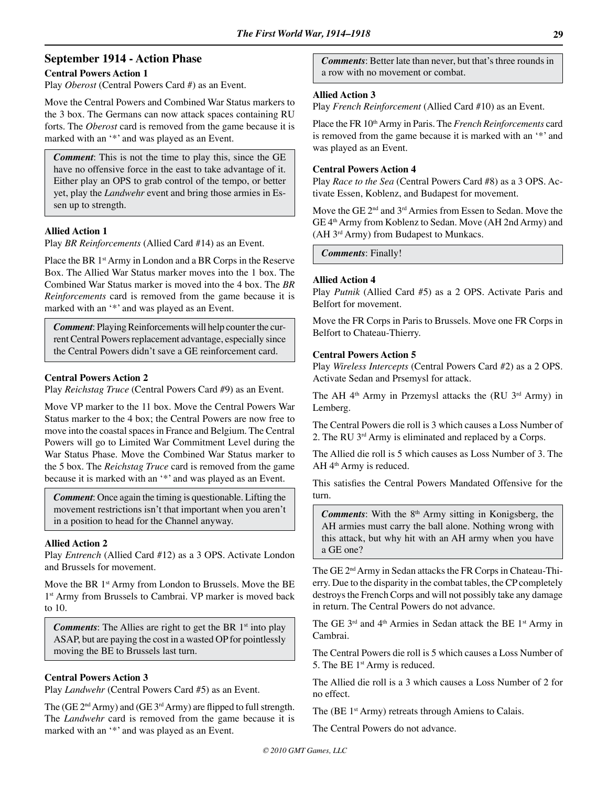## **September 1914 - Action Phase**

#### **Central Powers Action 1**

Play *Oberost* (Central Powers Card #) as an Event.

Move the Central Powers and Combined War Status markers to the 3 box. The Germans can now attack spaces containing RU forts. The *Oberost* card is removed from the game because it is marked with an '\*' and was played as an Event.

*Comment*: This is not the time to play this, since the GE have no offensive force in the east to take advantage of it. Either play an OPS to grab control of the tempo, or better yet, play the *Landwehr* event and bring those armies in Essen up to strength.

#### **Allied Action 1**

Play *BR Reinforcements* (Allied Card #14) as an Event.

Place the BR 1<sup>st</sup> Army in London and a BR Corps in the Reserve Box. The Allied War Status marker moves into the 1 box. The Combined War Status marker is moved into the 4 box. The *BR Reinforcements* card is removed from the game because it is marked with an '\*' and was played as an Event.

*Comment*: Playing Reinforcements will help counter the current Central Powers replacement advantage, especially since the Central Powers didn't save a GE reinforcement card.

#### **Central Powers Action 2**

Play *Reichstag Truce* (Central Powers Card #9) as an Event.

Move VP marker to the 11 box. Move the Central Powers War Status marker to the 4 box; the Central Powers are now free to move into the coastal spaces in France and Belgium. The Central Powers will go to Limited War Commitment Level during the War Status Phase. Move the Combined War Status marker to the 5 box. The *Reichstag Truce* card is removed from the game because it is marked with an '\*' and was played as an Event.

*Comment*: Once again the timing is questionable. Lifting the movement restrictions isn't that important when you aren't in a position to head for the Channel anyway.

#### **Allied Action 2**

Play *Entrench* (Allied Card #12) as a 3 OPS. Activate London and Brussels for movement.

Move the BR 1<sup>st</sup> Army from London to Brussels. Move the BE 1<sup>st</sup> Army from Brussels to Cambrai. VP marker is moved back to 10.

*Comments*: The Allies are right to get the BR 1<sup>st</sup> into play ASAP, but are paying the cost in a wasted OP for pointlessly moving the BE to Brussels last turn.

#### **Central Powers Action 3**

Play *Landwehr* (Central Powers Card #5) as an Event.

The (GE  $2<sup>nd</sup> Army$ ) and (GE  $3<sup>rd</sup> Army$ ) are flipped to full strength. The *Landwehr* card is removed from the game because it is marked with an '\*' and was played as an Event.

*Comments*: Better late than never, but that's three rounds in a row with no movement or combat.

#### **Allied Action 3**

Play *French Reinforcement* (Allied Card #10) as an Event.

Place the FR 10th Army in Paris. The *French Reinforcements* card is removed from the game because it is marked with an '\*' and was played as an Event.

#### **Central Powers Action 4**

Play *Race to the Sea* (Central Powers Card #8) as a 3 OPS. Activate Essen, Koblenz, and Budapest for movement.

Move the GE 2<sup>nd</sup> and 3<sup>rd</sup> Armies from Essen to Sedan. Move the GE 4th Army from Koblenz to Sedan. Move (AH 2nd Army) and (AH 3rd Army) from Budapest to Munkacs.

*Comments*: Finally!

#### **Allied Action 4**

Play *Putnik* (Allied Card #5) as a 2 OPS. Activate Paris and Belfort for movement.

Move the FR Corps in Paris to Brussels. Move one FR Corps in Belfort to Chateau-Thierry.

#### **Central Powers Action 5**

Play *Wireless Intercepts* (Central Powers Card #2) as a 2 OPS. Activate Sedan and Prsemysl for attack.

The AH  $4<sup>th</sup>$  Army in Przemysl attacks the (RU  $3<sup>rd</sup>$  Army) in Lemberg.

The Central Powers die roll is 3 which causes a Loss Number of 2. The RU 3rd Army is eliminated and replaced by a Corps.

The Allied die roll is 5 which causes as Loss Number of 3. The AH 4<sup>th</sup> Army is reduced.

This satisfies the Central Powers Mandated Offensive for the turn.

*Comments*: With the 8<sup>th</sup> Army sitting in Konigsberg, the AH armies must carry the ball alone. Nothing wrong with this attack, but why hit with an AH army when you have a GE one?

The GE 2nd Army in Sedan attacks the FR Corps in Chateau-Thierry. Due to the disparity in the combat tables, the CP completely destroys the French Corps and will not possibly take any damage in return. The Central Powers do not advance.

The GE 3<sup>rd</sup> and 4<sup>th</sup> Armies in Sedan attack the BE 1<sup>st</sup> Army in Cambrai.

The Central Powers die roll is 5 which causes a Loss Number of 5. The BE 1st Army is reduced.

The Allied die roll is a 3 which causes a Loss Number of 2 for no effect.

The (BE 1<sup>st</sup> Army) retreats through Amiens to Calais.

The Central Powers do not advance.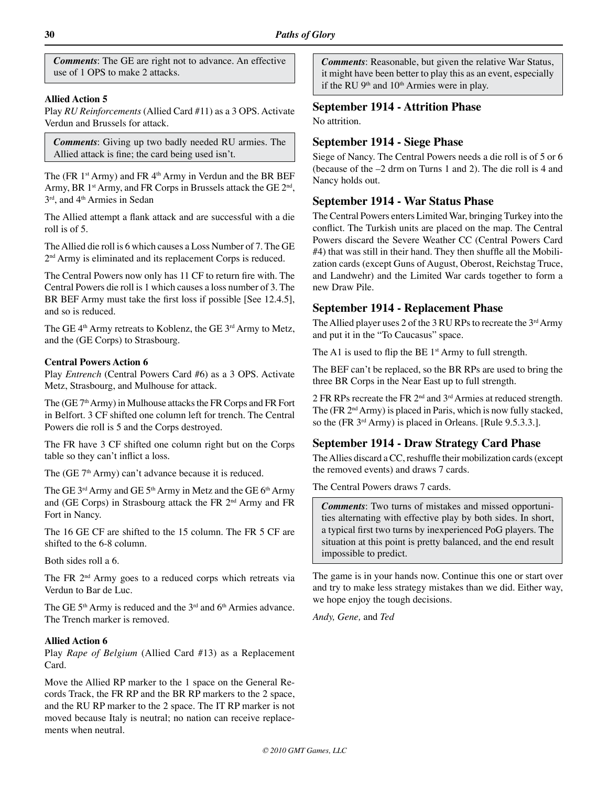*Comments*: The GE are right not to advance. An effective use of 1 OPS to make 2 attacks.

#### **Allied Action 5**

Play *RU Reinforcements* (Allied Card #11) as a 3 OPS. Activate Verdun and Brussels for attack.

*Comments*: Giving up two badly needed RU armies. The Allied attack is fine; the card being used isn't.

The (FR  $1<sup>st</sup>$  Army) and FR  $4<sup>th</sup>$  Army in Verdun and the BR BEF Army, BR  $1<sup>st</sup>$  Army, and FR Corps in Brussels attack the GE  $2<sup>nd</sup>$ , 3rd, and 4<sup>th</sup> Armies in Sedan

The Allied attempt a flank attack and are successful with a die roll is of 5.

The Allied die roll is 6 which causes a Loss Number of 7. The GE 2<sup>nd</sup> Army is eliminated and its replacement Corps is reduced.

The Central Powers now only has 11 CF to return fire with. The Central Powers die roll is 1 which causes a loss number of 3. The BR BEF Army must take the first loss if possible [See 12.4.5], and so is reduced.

The GE 4<sup>th</sup> Army retreats to Koblenz, the GE 3<sup>rd</sup> Army to Metz, and the (GE Corps) to Strasbourg.

#### **Central Powers Action 6**

Play *Entrench* (Central Powers Card #6) as a 3 OPS. Activate Metz, Strasbourg, and Mulhouse for attack.

The (GE 7<sup>th</sup> Army) in Mulhouse attacks the FR Corps and FR Fort in Belfort. 3 CF shifted one column left for trench. The Central Powers die roll is 5 and the Corps destroyed.

The FR have 3 CF shifted one column right but on the Corps table so they can't inflict a loss.

The  $(GE 7<sup>th</sup> Army)$  can't advance because it is reduced.

The GE 3<sup>rd</sup> Army and GE 5<sup>th</sup> Army in Metz and the GE 6<sup>th</sup> Army and (GE Corps) in Strasbourg attack the FR 2<sup>nd</sup> Army and FR Fort in Nancy.

The 16 GE CF are shifted to the 15 column. The FR 5 CF are shifted to the 6-8 column.

Both sides roll a 6.

The FR  $2<sup>nd</sup>$  Army goes to a reduced corps which retreats via Verdun to Bar de Luc.

The GE  $5<sup>th</sup>$  Army is reduced and the  $3<sup>rd</sup>$  and  $6<sup>th</sup>$  Armies advance. The Trench marker is removed.

#### **Allied Action 6**

Play *Rape of Belgium* (Allied Card #13) as a Replacement Card.

Move the Allied RP marker to the 1 space on the General Records Track, the FR RP and the BR RP markers to the 2 space, and the RU RP marker to the 2 space. The IT RP marker is not moved because Italy is neutral; no nation can receive replacements when neutral.

*Comments*: Reasonable, but given the relative War Status, it might have been better to play this as an event, especially if the RU  $9<sup>th</sup>$  and  $10<sup>th</sup>$  Armies were in play.

## **September 1914 - Attrition Phase**

No attrition.

#### **September 1914 - Siege Phase**

Siege of Nancy. The Central Powers needs a die roll is of 5 or 6 (because of the –2 drm on Turns 1 and 2). The die roll is 4 and Nancy holds out.

#### **September 1914 - War Status Phase**

The Central Powers enters Limited War, bringing Turkey into the conflict. The Turkish units are placed on the map. The Central Powers discard the Severe Weather CC (Central Powers Card #4) that was still in their hand. They then shuffle all the Mobilization cards (except Guns of August, Oberost, Reichstag Truce, and Landwehr) and the Limited War cards together to form a new Draw Pile.

#### **September 1914 - Replacement Phase**

The Allied player uses 2 of the 3 RU RPs to recreate the  $3<sup>rd</sup>$  Army and put it in the "To Caucasus" space.

The A1 is used to flip the BE  $1<sup>st</sup>$  Army to full strength.

The BEF can't be replaced, so the BR RPs are used to bring the three BR Corps in the Near East up to full strength.

2 FR RPs recreate the FR 2nd and 3rd Armies at reduced strength. The (FR 2nd Army) is placed in Paris, which is now fully stacked, so the (FR 3<sup>rd</sup> Army) is placed in Orleans. [Rule 9.5.3.3.].

## **September 1914 - Draw Strategy Card Phase**

The Allies discard a CC, reshuffle their mobilization cards (except the removed events) and draws 7 cards.

The Central Powers draws 7 cards.

*Comments*: Two turns of mistakes and missed opportunities alternating with effective play by both sides. In short, a typical first two turns by inexperienced PoG players. The situation at this point is pretty balanced, and the end result impossible to predict.

The game is in your hands now. Continue this one or start over and try to make less strategy mistakes than we did. Either way, we hope enjoy the tough decisions.

*Andy, Gene,* and *Ted*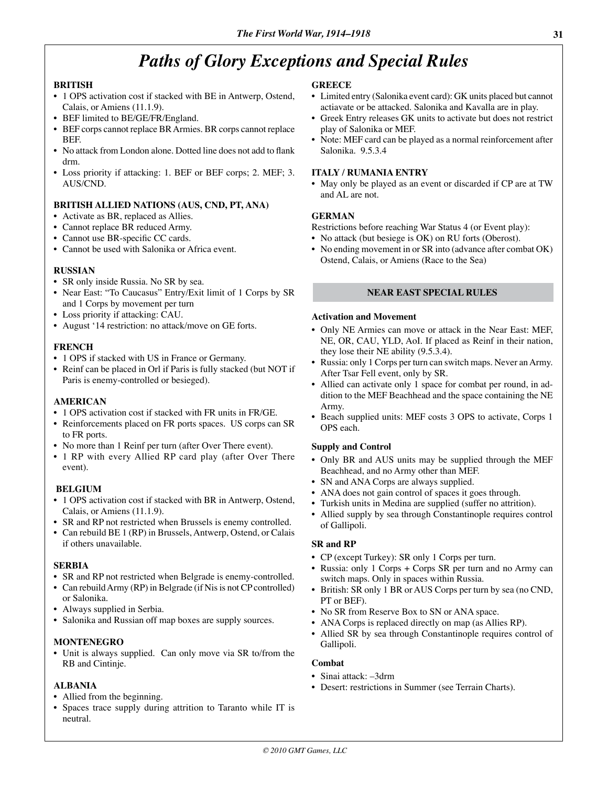# *Paths of Glory Exceptions and Special Rules*

#### **BRITISH**

- 1 OPS activation cost if stacked with BE in Antwerp, Ostend, Calais, or Amiens (11.1.9).
- BEF limited to BE/GE/FR/England.
- BEF corps cannot replace BR Armies. BR corps cannot replace **BEF.**
- No attack from London alone. Dotted line does not add to flank drm.
- Loss priority if attacking: 1. BEF or BEF corps; 2. MEF; 3. AUS/CND.

#### **BRITISH ALLIED NATIONS (AUS, CND, PT, ANA)**

- Activate as BR, replaced as Allies.
- Cannot replace BR reduced Army.
- Cannot use BR-specific CC cards.
- Cannot be used with Salonika or Africa event.

#### **RUSSIAN**

- SR only inside Russia. No SR by sea.
- Near East: "To Caucasus" Entry/Exit limit of 1 Corps by SR and 1 Corps by movement per turn
- Loss priority if attacking: CAU.
- August '14 restriction: no attack/move on GE forts.

#### **FRENCH**

- 1 OPS if stacked with US in France or Germany.
- Reinf can be placed in Orl if Paris is fully stacked (but NOT if Paris is enemy-controlled or besieged).

#### **AMERICAN**

- 1 OPS activation cost if stacked with FR units in FR/GE.
- Reinforcements placed on FR ports spaces. US corps can SR to FR ports.
- No more than 1 Reinf per turn (after Over There event).
- 1 RP with every Allied RP card play (after Over There event).

#### **BELGIUM**

- 1 OPS activation cost if stacked with BR in Antwerp, Ostend, Calais, or Amiens (11.1.9).
- SR and RP not restricted when Brussels is enemy controlled.
- Can rebuild BE 1 (RP) in Brussels, Antwerp, Ostend, or Calais if others unavailable.

#### **SERBIA**

- SR and RP not restricted when Belgrade is enemy-controlled.
- Can rebuild Army (RP) in Belgrade (if Nis is not CP controlled) or Salonika.
- Always supplied in Serbia.
- Salonika and Russian off map boxes are supply sources.

#### **MONTENEGRO**

• Unit is always supplied. Can only move via SR to/from the RB and Cintinje.

#### **ALBANIA**

- Allied from the beginning.
- Spaces trace supply during attrition to Taranto while IT is neutral.

#### **GREECE**

- Limited entry (Salonika event card): GK units placed but cannot actiavate or be attacked. Salonika and Kavalla are in play.
- Greek Entry releases GK units to activate but does not restrict play of Salonika or MEF.
- Note: MEF card can be played as a normal reinforcement after Salonika. 9.5.3.4

## **ITALY / RUMANIA ENTRY**

• May only be played as an event or discarded if CP are at TW and AL are not.

#### **GERMAN**

Restrictions before reaching War Status 4 (or Event play):

- No attack (but besiege is OK) on RU forts (Oberost).
- No ending movement in or SR into (advance after combat OK) Ostend, Calais, or Amiens (Race to the Sea)

#### **NEAR EAST SPECIAL RULES**

#### **Activation and Movement**

- Only NE Armies can move or attack in the Near East: MEF, NE, OR, CAU, YLD, AoI. If placed as Reinf in their nation, they lose their NE ability (9.5.3.4).
- Russia: only 1 Corps per turn can switch maps. Never an Army. After Tsar Fell event, only by SR.
- Allied can activate only 1 space for combat per round, in addition to the MEF Beachhead and the space containing the NE Army.
- Beach supplied units: MEF costs 3 OPS to activate, Corps 1 OPS each.

#### **Supply and Control**

- Only BR and AUS units may be supplied through the MEF Beachhead, and no Army other than MEF.
- SN and ANA Corps are always supplied.
- ANA does not gain control of spaces it goes through.
- Turkish units in Medina are supplied (suffer no attrition).
- Allied supply by sea through Constantinople requires control of Gallipoli.

#### **SR and RP**

- CP (except Turkey): SR only 1 Corps per turn.
- Russia: only 1 Corps + Corps SR per turn and no Army can switch maps. Only in spaces within Russia.
- British: SR only 1 BR or AUS Corps per turn by sea (no CND, PT or BEF).
- No SR from Reserve Box to SN or ANA space.
- ANA Corps is replaced directly on map (as Allies RP).
- Allied SR by sea through Constantinople requires control of Gallipoli.

#### **Combat**

- Sinai attack: –3drm
- Desert: restrictions in Summer (see Terrain Charts).